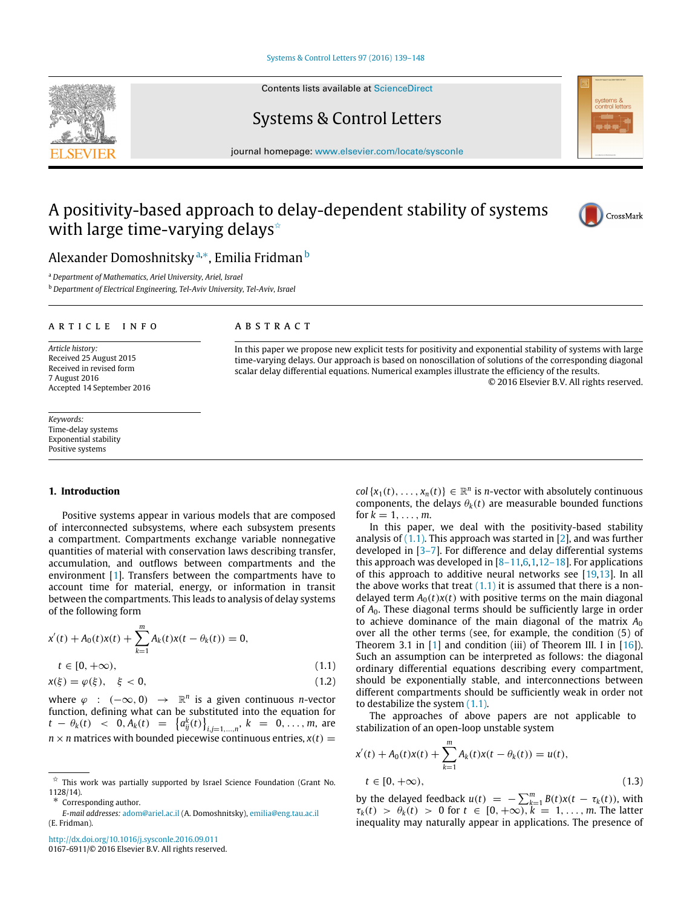[Systems & Control Letters 97 \(2016\) 139–148](http://dx.doi.org/10.1016/j.sysconle.2016.09.011)

Contents lists available at [ScienceDirect](http://www.elsevier.com/locate/sysconle)

## Systems & Control Letters

journal homepage: [www.elsevier.com/locate/sysconle](http://www.elsevier.com/locate/sysconle)

# A positivity-based approach to delay-dependent stability of systems with large time-varying delays<sup> $\star$ </sup>



Alexander Domoshnitsky <sup>[a,](#page-0-1)</sup>\*, Emilia Fridman <sup>[b](#page-0-3)</sup>

<span id="page-0-1"></span><sup>a</sup> *Department of Mathematics, Ariel University, Ariel, Israel*

<span id="page-0-3"></span><sup>b</sup> *Department of Electrical Engineering, Tel-Aviv University, Tel-Aviv, Israel*

#### ARTICLE INFO

*Article history:* Received 25 August 2015 Received in revised form 7 August 2016 Accepted 14 September 2016

*Keywords:* Time-delay systems Exponential stability Positive systems

### A B S T R A C T

In this paper we propose new explicit tests for positivity and exponential stability of systems with large time-varying delays. Our approach is based on nonoscillation of solutions of the corresponding diagonal scalar delay differential equations. Numerical examples illustrate the efficiency of the results. © 2016 Elsevier B.V. All rights reserved.

#### **1. Introduction**

Positive systems appear in various models that are composed of interconnected subsystems, where each subsystem presents a compartment. Compartments exchange variable nonnegative quantities of material with conservation laws describing transfer, accumulation, and outflows between compartments and the environment [\[1\]](#page-8-0). Transfers between the compartments have to account time for material, energy, or information in transit between the compartments. This leads to analysis of delay systems of the following form

$$
x'(t) + A_0(t)x(t) + \sum_{k=1}^{m} A_k(t)x(t - \theta_k(t)) = 0,
$$
  
\n
$$
t \in [0, +\infty),
$$
\n(1.1)

$$
x(\xi) = \varphi(\xi), \quad \xi < 0,\tag{1.2}
$$

where  $\varphi$  :  $(-\infty, 0) \rightarrow \mathbb{R}^n$  is a given continuous *n*-vector function, defining what can be substituted into the equation for *t* −  $\theta_k(t)$  < 0,  $A_k(t)$  =  $\left\{a_{ij}^k(t)\right\}_{i,j=1,\dots,n}$ ,  $k$  = 0, ..., *m*, are  $n \times n$  matrices with bounded piecewise continuous entries,  $x(t) =$ 

 $col\{x_1(t), \ldots, x_n(t)\}\in \mathbb{R}^n$  is *n*-vector with absolutely continuous components, the delays  $\theta_k(t)$  are measurable bounded functions for  $k = 1, ..., m$ .

In this paper, we deal with the positivity-based stability analysis of  $(1.1)$ . This approach was started in  $[2]$ , and was further developed in [\[3–7\]](#page-8-2). For difference and delay differential systems this approach was developed in  $[8-11,6,1,12-18]$  $[8-11,6,1,12-18]$  $[8-11,6,1,12-18]$  $[8-11,6,1,12-18]$ . For applications of this approach to additive neural networks see [\[19](#page-8-6)[,13\]](#page-8-7). In all the above works that treat  $(1.1)$  it is assumed that there is a nondelayed term  $A_0(t)x(t)$  with positive terms on the main diagonal of *A*0. These diagonal terms should be sufficiently large in order to achieve dominance of the main diagonal of the matrix  $A_0$ over all the other terms (see, for example, the condition (5) of Theorem 3.1 in  $[1]$  and condition (iii) of Theorem III. I in  $[16]$ ). Such an assumption can be interpreted as follows: the diagonal ordinary differential equations describing every compartment, should be exponentially stable, and interconnections between different compartments should be sufficiently weak in order not to destabilize the system [\(1.1\).](#page-0-4)

<span id="page-0-5"></span><span id="page-0-4"></span>The approaches of above papers are not applicable to stabilization of an open-loop unstable system

$$
x'(t) + A_0(t)x(t) + \sum_{k=1}^{m} A_k(t)x(t - \theta_k(t)) = u(t),
$$
  
\n
$$
t \in [0, +\infty),
$$
\n(1.3)

by the delayed feedback  $u(t) = -\sum_{k=1}^{m} B(t)x(t - \tau_k(t))$ , with  $\tau_k(t) > \theta_k(t) > 0$  for  $t \in [0, +\infty)$ ,  $k = 1, ..., m$ . The latter inequality may naturally appear in applications. The presence of



<span id="page-0-0"></span> $\overrightarrow{x}$  This work was partially supported by Israel Science Foundation (Grant No. 1128/14).

<span id="page-0-2"></span>Corresponding author.

*E-mail addresses:* [adom@ariel.ac.il](mailto:adom@ariel.ac.il) (A. Domoshnitsky), [emilia@eng.tau.ac.il](mailto:emilia@eng.tau.ac.il) (E. Fridman).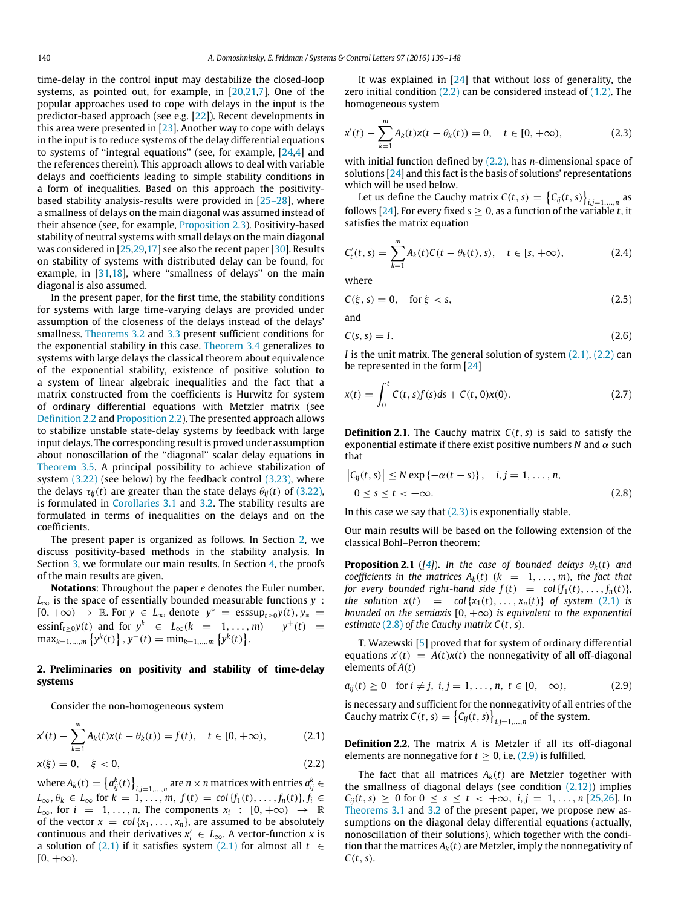time-delay in the control input may destabilize the closed-loop systems, as pointed out, for example, in [\[20,](#page-8-9)[21](#page-8-10)[,7\]](#page-8-11). One of the popular approaches used to cope with delays in the input is the predictor-based approach (see e.g. [\[22\]](#page-8-12)). Recent developments in this area were presented in [\[23\]](#page-8-13). Another way to cope with delays in the input is to reduce systems of the delay differential equations to systems of ''integral equations'' (see, for example, [\[24](#page-8-14)[,4\]](#page-8-15) and the references therein). This approach allows to deal with variable delays and coefficients leading to simple stability conditions in a form of inequalities. Based on this approach the positivitybased stability analysis-results were provided in [\[25–28\]](#page-8-16), where a smallness of delays on the main diagonal was assumed instead of their absence (see, for example, [Proposition 2.3\)](#page-2-0). Positivity-based stability of neutral systems with small delays on the main diagonal was considered in [\[25,](#page-8-16)[29](#page-9-0)[,17\]](#page-8-17) see also the recent paper [\[30\]](#page-9-1). Results on stability of systems with distributed delay can be found, for example, in [\[31,](#page-9-2)[18\]](#page-8-18), where "smallness of delays" on the main diagonal is also assumed.

In the present paper, for the first time, the stability conditions for systems with large time-varying delays are provided under assumption of the closeness of the delays instead of the delays' smallness. [Theorems 3.2](#page-2-1) and [3.3](#page-3-0) present sufficient conditions for the exponential stability in this case. [Theorem 3.4](#page-3-1) generalizes to systems with large delays the classical theorem about equivalence of the exponential stability, existence of positive solution to a system of linear algebraic inequalities and the fact that a matrix constructed from the coefficients is Hurwitz for system of ordinary differential equations with Metzler matrix (see [Definition 2.2](#page-1-0) and [Proposition 2.2\)](#page-2-2). The presented approach allows to stabilize unstable state-delay systems by feedback with large input delays. The corresponding result is proved under assumption about nonoscillation of the ''diagonal'' scalar delay equations in [Theorem 3.5.](#page-4-0) A principal possibility to achieve stabilization of system [\(3.22\)](#page-4-1) (see below) by the feedback control [\(3.23\),](#page-4-2) where the delays  $\tau_{ij}(t)$  are greater than the state delays  $\theta_{ij}(t)$  of [\(3.22\),](#page-4-1) is formulated in [Corollaries 3.1](#page-4-3) and [3.2.](#page-4-4) The stability results are formulated in terms of inequalities on the delays and on the coefficients.

The present paper is organized as follows. In Section [2,](#page-1-1) we discuss positivity-based methods in the stability analysis. In Section [3,](#page-2-3) we formulate our main results. In Section [4,](#page-5-0) the proofs of the main results are given.

**Notations**: Throughout the paper *e* denotes the Euler number.  $L_{\infty}$  is the space of essentially bounded measurable functions *y* :  $[0, +\infty)$  → R. For  $y \in L_{\infty}$  denote  $y^* = \text{esssup}_{t \geq 0} y(t), y_*$  =  $\text{essinf}_{t\geq 0} y(t)$  and for  $y^k \in L_{\infty}(k = 1, ..., m) - y^+(t) = 0$  $\max_{k=1,...,m} \{y^k(t)\}, y^-(t) = \min_{k=1,...,m} \{y^k(t)\}.$ 

#### <span id="page-1-1"></span>**2. Preliminaries on positivity and stability of time-delay systems**

Consider the non-homogeneous system

<span id="page-1-2"></span>
$$
x'(t) - \sum_{k=1}^{m} A_k(t)x(t - \theta_k(t)) = f(t), \quad t \in [0, +\infty), \tag{2.1}
$$

$$
x(\xi) = 0, \quad \xi < 0,\tag{2.2}
$$

where  $A_k(t) = \left\{a_{ij}^k(t)\right\}_{i,j=1,...,n}$  are  $n \times n$  matrices with entries  $a_{ij}^k \in$ *L*<sub>∞</sub>,  $\theta$ <sup>*k*</sup> ∈ *L*<sub>∞</sub> for *k* = 1, . . . , *m*, *f*(*t*) = *col* {*f*<sub>1</sub>(*t*), . . . , *f<sub>n</sub>*(*t*)}, *f<sub>i</sub>* ∈  $L_{\infty}$ , for  $i = 1, \ldots, n$ . The components  $x_i : [0, +\infty) \rightarrow \mathbb{R}$ of the vector  $x = col\{x_1, \ldots, x_n\}$ , are assumed to be absolutely  $\text{continuous}$  and their derivatives  $x'_i \in L_\infty$ . A vector-function *x* is a solution of [\(2.1\)](#page-1-2) if it satisfies system [\(2.1\)](#page-1-2) for almost all *t* ∈  $[0, +\infty)$ .

It was explained in [\[24\]](#page-8-14) that without loss of generality, the zero initial condition  $(2.2)$  can be considered instead of  $(1.2)$ . The homogeneous system

<span id="page-1-4"></span>
$$
x'(t) - \sum_{k=1}^{m} A_k(t)x(t - \theta_k(t)) = 0, \quad t \in [0, +\infty),
$$
 (2.3)

with initial function defined by [\(2.2\),](#page-1-3) has *n*-dimensional space of solutions [\[24\]](#page-8-14) and this fact is the basis of solutions' representations which will be used below.

Let us define the Cauchy matrix  $C(t, s) = \left\{ C_{ij}(t, s) \right\}_{i,j=1,\ldots,n}$  as follows [\[24\]](#page-8-14). For every fixed  $s \geq 0$ , as a function of the variable *t*, it satisfies the matrix equation

$$
C'_{t}(t,s) = \sum_{k=1}^{m} A_{k}(t)C(t - \theta_{k}(t), s), \quad t \in [s, +\infty),
$$
 (2.4)

where

and

$$
C(\xi, s) = 0, \quad \text{for } \xi < s,\tag{2.5}
$$

$$
C(s,s) = I. \tag{2.6}
$$

*I* is the unit matrix. The general solution of system  $(2.1)$ ,  $(2.2)$  can be represented in the form [\[24\]](#page-8-14)

<span id="page-1-7"></span>
$$
x(t) = \int_0^t C(t, s) f(s) ds + C(t, 0)x(0).
$$
 (2.7)

**Definition 2.1.** The Cauchy matrix  $C(t, s)$  is said to satisfy the exponential estimate if there exist positive numbers *N* and α such that

<span id="page-1-5"></span>
$$
\begin{aligned} \left|C_{ij}(t,s)\right| &\le N \exp\left\{-\alpha(t-s)\right\}, \quad i,j=1,\ldots,n, \\ 0 &\le s \le t < +\infty. \end{aligned} \tag{2.8}
$$

In this case we say that  $(2.3)$  is exponentially stable.

Our main results will be based on the following extension of the classical Bohl–Perron theorem:

<span id="page-1-8"></span>**Proposition 2.1** ([\[4\]](#page-8-15)). In the case of bounded delays  $\theta_k(t)$  and *coefficients in the matrices*  $A_k(t)$  ( $k = 1, \ldots, m$ ), the fact that *for every bounded right-hand side*  $f(t) = \text{col}\{f_1(t), \ldots, f_n(t)\}$ , *the solution*  $x(t) = \text{col}\{x_1(t), \ldots, x_n(t)\}$  *of system* [\(2.1\)](#page-1-2) *is bounded on the semiaxis*  $[0, +\infty)$  *is equivalent to the exponential estimate*  $(2.8)$  *of the Cauchy matrix C(t, s).* 

T. Wazewski [\[5\]](#page-8-19) proved that for system of ordinary differential equations  $x'(t) = A(t)x(t)$  the nonnegativity of all off-diagonal elements of *A*(*t*)

<span id="page-1-6"></span>
$$
a_{ij}(t) \ge 0 \text{ for } i \ne j, \ i, j = 1, \dots, n, \ t \in [0, +\infty), \tag{2.9}
$$

is necessary and sufficient for the nonnegativity of all entries of the Cauchy matrix  $C(t, s) = \left\{C_{ij}(t, s)\right\}_{i,j=1,\dots,n}$  of the system.

<span id="page-1-0"></span>**Definition 2.2.** The matrix *A* is Metzler if all its off-diagonal elements are nonnegative for  $t > 0$ , i.e.  $(2.9)$  is fulfilled.

<span id="page-1-3"></span>The fact that all matrices  $A_k(t)$  are Metzler together with the smallness of diagonal delays (see condition  $(2.12)$ ) implies  $C_{ii}(t, s) \ge 0$  for  $0 \le s \le t \le +\infty$ ,  $i, j = 1, ..., n$  [\[25,](#page-8-16)[26\]](#page-8-20). In [Theorems 3.1](#page-2-5) and [3.2](#page-2-1) of the present paper, we propose new assumptions on the diagonal delay differential equations (actually, nonoscillation of their solutions), which together with the condition that the matrices  $A_k(t)$  are Metzler, imply the nonnegativity of  $C(t, s)$ .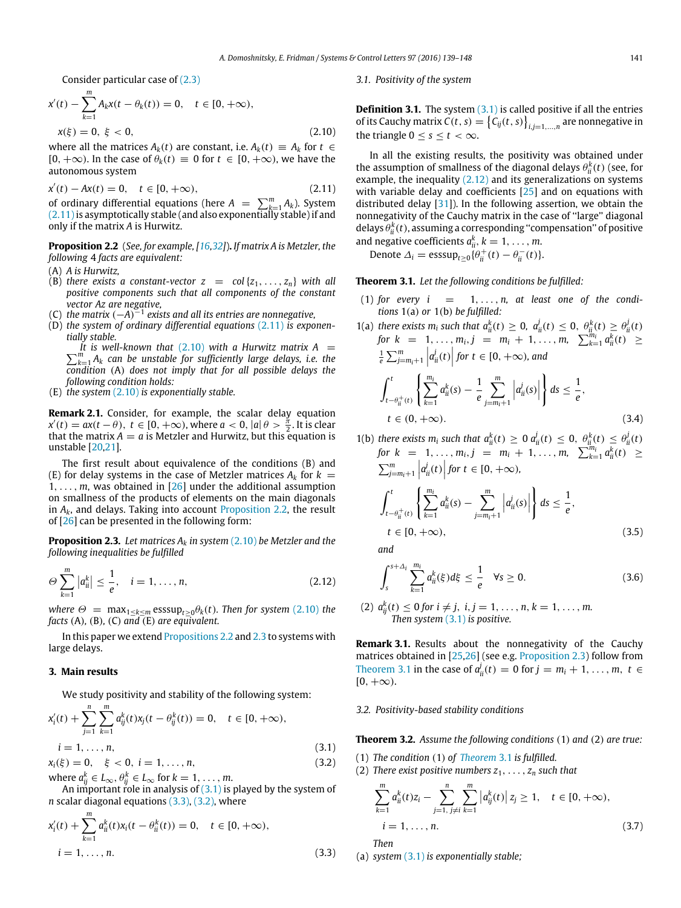Consider particular case of [\(2.3\)](#page-1-4)

$$
x'(t) - \sum_{k=1}^{m} A_k x(t - \theta_k(t)) = 0, \quad t \in [0, +\infty),
$$
  

$$
x(\xi) = 0, \xi < 0,
$$
 (2.10)

where all the matrices  $A_k(t)$  are constant, i.e.  $A_k(t) \equiv A_k$  for  $t \in$  $[0, +\infty)$ . In the case of  $\theta_k(t) \equiv 0$  for  $t \in [0, +\infty)$ , we have the autonomous system

$$
x'(t) - Ax(t) = 0, \quad t \in [0, +\infty),
$$
\n(2.11)

of ordinary differential equations (here  $A = \sum_{k=1}^{m} A_k$ ). System  $(2.11)$  is asymptotically stable (and also exponentially stable) if and only if the matrix *A* is Hurwitz.

<span id="page-2-2"></span>**Proposition 2.2** (*See, for example, [\[16,](#page-8-8)[32\]](#page-9-3)*)**.** *If matrix A is Metzler, the following* 4 *facts are equivalent:*

- (A) *A is Hurwitz,*
- (B) *there exists a constant-vector*  $z = col\{z_1, \ldots, z_n\}$  *with all positive components such that all components of the constant vector Az are negative,*
- (C) *the matrix* (−*A*) −1 *exists and all its entries are nonnegative,*
- (D) *the system of ordinary differential equations* [\(2.11\)](#page-2-6) *is exponentially stable.*

 $\sum_{k=1}^{m} A_k$  *can be unstable for sufficiently large delays, i.e. the It is well-known that* [\(2.10\)](#page-2-7) with a Hurwitz matrix  $A =$ *condition* (A) *does not imply that for all possible delays the following condition holds:*

(E) *the system* [\(2.10\)](#page-2-7) *is exponentially stable.*

**Remark 2.1.** Consider, for example, the scalar delay equation  $x'(t) = ax(t - \theta), t \in [0, +\infty)$ , where  $a < 0$ ,  $|a| \theta > \frac{\pi}{2}$ . It is clear that the matrix  $A = a$  is Metzler and Hurwitz, but this equation is unstable [\[20,](#page-8-9)[21\]](#page-8-10).

The first result about equivalence of the conditions (B) and (E) for delay systems in the case of Metzler matrices  $A_k$  for  $k =$  $1, \ldots, m$ , was obtained in [\[26\]](#page-8-20) under the additional assumption on smallness of the products of elements on the main diagonals in  $A_k$ , and delays. Taking into account [Proposition 2.2,](#page-2-2) the result of [\[26\]](#page-8-20) can be presented in the following form:

<span id="page-2-0"></span>**Proposition 2.3.** *Let matrices A<sup>k</sup> in system* [\(2.10\)](#page-2-7) *be Metzler and the following inequalities be fulfilled*

$$
\Theta \sum_{k=1}^{m} |a_{ii}^k| \leq \frac{1}{e}, \quad i = 1, \dots, n,
$$
\n(2.12)

*where*  $\Theta$  = max<sub>1≤*k*≤*m*</sub> esssup<sub>*t*>0</sub> $\theta$ <sub>*k</sub>*(*t*)*. Then for system* [\(2.10\)](#page-2-7) *the*</sub> *facts* (A)*,* (B)*,* (C) *and* (E) *are equivalent.*

In this paper we extend [Propositions 2.2](#page-2-2) and [2.3](#page-2-0) to systems with large delays.

#### <span id="page-2-3"></span>**3. Main results**

We study positivity and stability of the following system:

<span id="page-2-10"></span>
$$
x'_{i}(t) + \sum_{j=1}^{n} \sum_{k=1}^{m} a^{k}_{ij}(t)x_{j}(t - \theta^{k}_{ij}(t)) = 0, \quad t \in [0, +\infty),
$$
  
\n $i = 1, ..., n,$  (3.1)

 $x_i(\xi) = 0, \quad \xi < 0, \ i = 1, \dots, n,$  (3.2) where  $a_{ij}^k \in L_\infty$ ,  $\theta_{ij}^k \in L_\infty$  for  $k = 1, \ldots, m$ .

An important role in analysis of  $(3.1)$  is played by the system of *n* scalar diagonal equations [\(3.3\),](#page-2-9) [\(3.2\),](#page-2-10) where

<span id="page-2-9"></span>
$$
x'_{i}(t) + \sum_{k=1}^{m} a^{k}_{ii}(t)x_{i}(t - \theta^{k}_{ii}(t)) = 0, \quad t \in [0, +\infty),
$$
  

$$
i = 1, ..., n.
$$
 (3.3)

#### *3.1. Positivity of the system*

<span id="page-2-7"></span>**Definition 3.1.** The system [\(3.1\)](#page-2-8) is called positive if all the entries of its Cauchy matrix  $C(t, s) = \left\{ C_{ij}(t, s) \right\}_{i,j=1,\ldots,n}$  are nonnegative in the triangle  $0 \leq s \leq t < \infty$ .

<span id="page-2-6"></span>In all the existing results, the positivity was obtained under the assumption of smallness of the diagonal delays  $\theta_{ii}^k(t)$  (see, for example, the inequality  $(2.12)$  and its generalizations on systems with variable delay and coefficients [\[25\]](#page-8-16) and on equations with distributed delay [\[31\]](#page-9-2)). In the following assertion, we obtain the nonnegativity of the Cauchy matrix in the case of ''large'' diagonal delays  $\theta_{ii}^k(t)$ , assuming a corresponding "compensation" of positive and negative coefficients  $a_{ii}^k$ ,  $k = 1, \ldots, m$ .

<span id="page-2-5"></span>Denote  $\Delta_i$  = esssup<sub>t≥0</sub>{ $\theta_{ii}^{+}(t) - \theta_{ii}^{-}(t)$ }.

**Theorem 3.1.** *Let the following conditions be fulfilled:*

- $(1)$  for every  $i = 1, ..., n$ , at least one of the condi*tions* 1(a) *or* 1(b) *be fulfilled:*
- 1(a) *there exists*  $m_i$  *such that*  $a_{ii}^k(t) \ge 0$ ,  $a_{ii}^j(t) \le 0$ ,  $\theta_{ii}^k(t) \ge \theta_{ii}^j(t)$ *for*  $k = 1, ..., m_i, j = m_i + 1, ..., m_i$   $\sum_{k=1}^{m_i} a_{ii}^k(t) \ge$  $\frac{1}{e} \sum_{j=m_i+1}^{m} |a_{ii}^j(t)|$  for  $t \in [0, +\infty)$ , and  $\int_0^t$  $t - \theta_{ii}^+(t)$  $\int \frac{m_i}{\sum}$ *k*=1  $a_{ii}^k(s) - \frac{1}{s}$ *e m <sup>j</sup>*=*mi*+<sup>1</sup>  $a_{ii}^j(s)$  $\mathbf{I}$  $ds \leq \frac{1}{2}$ *e* ,  $t \in (0, +\infty).$  (3.4)
- 1(b) *there exists*  $m_i$  *such that*  $a_{ii}^k(t) \ge 0$   $a_{ii}^j(t) \le 0$ ,  $\theta_{ii}^k(t) \le \theta_{ii}^j(t)$ *for*  $k = 1, ..., m_i, j = m_i + 1, ..., m, \sum_{k=1}^{m_i} a_{ii}^k(t) \ge$  $\sum_{j=m_i+1}^{m} |a_{ii}^j(t)|$  for  $t \in [0, +\infty)$ ,  $\int_0^t$  $t - \theta_{ii}^+(t)$  $\left(\frac{m_i}{\sum}\right)$ *k*=1  $a_{ii}^k(s) - \sum_{i=1}^m$ *<sup>j</sup>*=*mi*+<sup>1</sup>  $a_{ii}^j(s)$  $\mathbf{I}$  $ds \leq \frac{1}{2}$ *e* ,  $t \in [0, +\infty)$ , (3.5)

*and*

$$
\int_{s}^{s+\Delta_{i}}\sum_{k=1}^{m_{i}}a_{ii}^{k}(\xi)d\xi \leq \frac{1}{e} \quad \forall s \geq 0.
$$
 (3.6)

<span id="page-2-4"></span> $(2)$   $a_{ij}^k(t) \le 0$  *for*  $i \ne j$ ,  $i, j = 1, ..., n$ ,  $k = 1, ..., m$ . *Then system* [\(3.1\)](#page-2-8) *is positive.*

**Remark 3.1.** Results about the nonnegativity of the Cauchy matrices obtained in [\[25,](#page-8-16)[26\]](#page-8-20) (see e.g. [Proposition 2.3\)](#page-2-0) follow from [Theorem 3.1](#page-2-5) in the case of  $a_{ii}^j(t) = 0$  for *j* =  $m_i + 1, ..., m, t$  ∈  $[0, +\infty)$ .

#### *3.2. Positivity-based stability conditions*

<span id="page-2-8"></span><span id="page-2-1"></span>**Theorem 3.2.** *Assume the following conditions* (1) *and* (2) *are true:*

- (1) *The condition* (1) *of [Theorem](#page-2-5)* 3.1 *is fulfilled.*
- (2) *There exist positive numbers*  $z_1, \ldots, z_n$  *such that*

$$
\sum_{k=1}^{m} a_{ii}^{k}(t)z_{i} - \sum_{j=1, j \neq i}^{n} \sum_{k=1}^{m} |a_{ij}^{k}(t)| z_{j} \ge 1, \quad t \in [0, +\infty),
$$
  
\n $i = 1, ..., n.$  (3.7)

*Then*

(a) *system* [\(3.1\)](#page-2-8) *is exponentially stable;*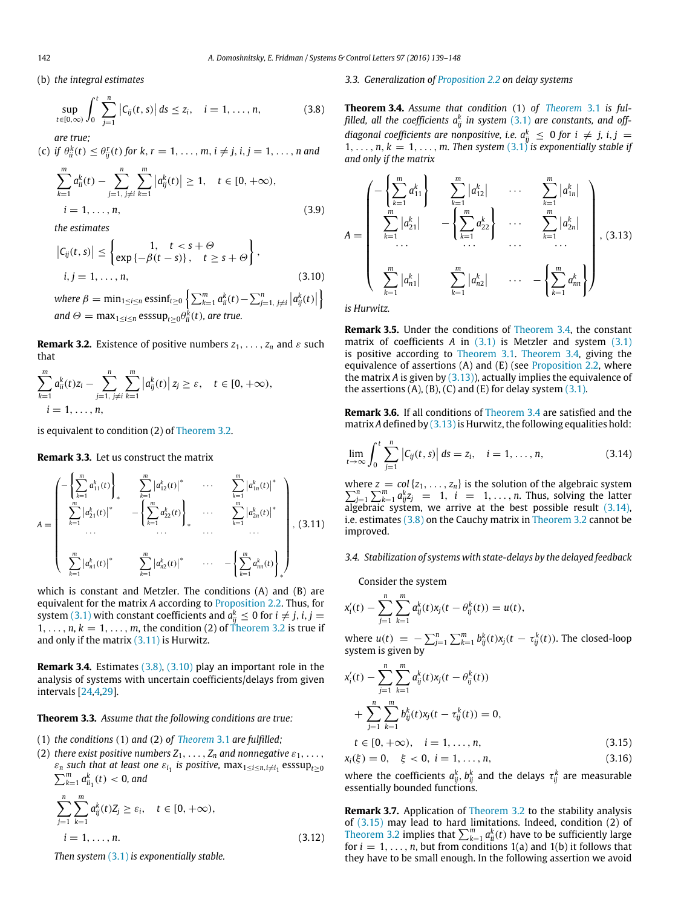(b) *the integral estimates*

$$
\sup_{t \in [0,\infty)} \int_0^t \sum_{j=1}^n |C_{ij}(t,s)| \, ds \le z_i, \quad i = 1, \dots, n,
$$
\n(3.8)

*are true;*

(c) *if*  $\theta_{ii}^k(t) \leq \theta_{ij}^r(t)$  for  $k, r = 1, \ldots, m, i \neq j, i, j = 1, \ldots, n$  and

$$
\sum_{k=1}^{m} a_{ii}^{k}(t) - \sum_{j=1, j \neq i}^{n} \sum_{k=1}^{m} |a_{ij}^{k}(t)| \ge 1, \quad t \in [0, +\infty),
$$
  

$$
i = 1, ..., n,
$$
 (3.9)

*the estimates*

$$
\left|C_{ij}(t,s)\right| \leq \begin{cases} 1, & t < s + \Theta \\ \exp\left\{-\beta(t-s)\right\}, & t \geq s + \Theta \end{cases},
$$
\n
$$
i, j = 1, \ldots, n,\tag{3.10}
$$

 $where \ \beta = \min_{1 \leq i \leq n} \text{essinf}_{t \geq 0} \left\{ \sum_{k=1}^{m} a_{ii}^{k}(t) - \sum_{j=1, j \neq i}^{n} \left| a_{ij}^{k}(t) \right| \right\}$ ļ  $and \ \Theta = \max_{1 \leq i \leq n} \text{esssup}_{t \geq 0} \theta_{ii}^k(t)$ *, are true.* 

<span id="page-3-8"></span>**Remark 3.2.** Existence of positive numbers  $z_1, \ldots, z_n$  and  $\varepsilon$  such that

$$
\sum_{k=1}^{m} a_{ii}^{k}(t)z_{i} - \sum_{j=1, j \neq i}^{n} \sum_{k=1}^{m} |a_{ij}^{k}(t)| z_{j} \geq \varepsilon, \quad t \in [0, +\infty),
$$
  
 $i = 1, ..., n,$ 

is equivalent to condition (2) of [Theorem 3.2.](#page-2-1)

**Remark 3.3.** Let us construct the matrix

$$
A = \begin{pmatrix} -\left\{ \sum_{k=1}^{m} a_{11}^{k}(t) \right\}_{*} & \sum_{k=1}^{m} \left| a_{12}^{k}(t) \right|^{*} & \cdots & \sum_{k=1}^{m} \left| a_{1n}^{k}(t) \right|^{*} \\ \sum_{k=1}^{m} \left| a_{21}^{k}(t) \right|^{*} & -\left\{ \sum_{k=1}^{m} a_{22}^{k}(t) \right\}_{*} & \cdots & \sum_{k=1}^{m} \left| a_{2n}^{k}(t) \right|^{*} \\ \cdots & \cdots & \cdots & \cdots \\ \sum_{k=1}^{m} \left| a_{n1}^{k}(t) \right|^{*} & \sum_{k=1}^{m} \left| a_{n2}^{k}(t) \right|^{*} & \cdots & -\left\{ \sum_{k=1}^{m} a_{nn}^{k}(t) \right\}_{*} \end{pmatrix},
$$
(3.11)

which is constant and Metzler. The conditions (A) and (B) are equivalent for the matrix *A* according to [Proposition 2.2.](#page-2-2) Thus, for system [\(3.1\)](#page-2-8) with constant coefficients and  $a_{ij}^k \leq 0$  for  $i \neq j$ ,  $i,j =$  $1, \ldots, n, k = 1, \ldots, m$ , the condition (2) of [Theorem 3.2](#page-2-1) is true if and only if the matrix [\(3.11\)](#page-3-2) is Hurwitz.

**Remark 3.4.** Estimates [\(3.8\),](#page-3-3) [\(3.10\)](#page-3-4) play an important role in the analysis of systems with uncertain coefficients/delays from given intervals [\[24,](#page-8-14)[4](#page-8-15)[,29\]](#page-9-0).

#### <span id="page-3-0"></span>**Theorem 3.3.** *Assume that the following conditions are true:*

- (1) *the conditions* (1) *and* (2) *of [Theorem](#page-2-5)* 3.1 *are fulfilled;*
- (2) *there exist positive numbers*  $Z_1, \ldots, Z_n$  *and nonnegative*  $\varepsilon_1, \ldots,$  $\varepsilon_n$  such that at least one  $\varepsilon_{i_1}$  is positive,  $\max_{1\leq i\leq n, i\neq i_1} \text{esssup}_{t\geq 0}$  $\sum_{k=1}^{m} a_{ii_1}^k(t) < 0$ , and

$$
\sum_{j=1}^{n} \sum_{k=1}^{m} a_{ij}^{k}(t) Z_{j} \ge \varepsilon_{i}, \quad t \in [0, +\infty),
$$
  

$$
i = 1, ..., n.
$$
 (3.12)

*Then system* [\(3.1\)](#page-2-8) *is exponentially stable.*

#### *3.3. Generalization of [Proposition 2.2](#page-2-2) on delay systems*

<span id="page-3-3"></span><span id="page-3-1"></span>**Theorem 3.4.** *Assume that condition* (1) *of [Theorem](#page-2-5)* 3.1 *is ful*filled, all the coefficients  $a_{ij}^k$  in system  $(3.1)$  are constants, and off*diagonal coefficients are nonpositive, i.e.*  $a_{ij}^k \leq 0$  for  $i \neq j$ ,  $i, j = j$  $1, \ldots, n, k = 1, \ldots, m$ . Then system  $(3.1)^n$  $(3.1)^n$  is exponentially stable if *and only if the matrix*

<span id="page-3-5"></span>
$$
A = \begin{pmatrix} -\left\{ \sum_{k=1}^{m} a_{11}^{k} \right\} & \sum_{k=1}^{m} |a_{12}^{k}| & \cdots & \sum_{k=1}^{m} |a_{1n}^{k}| \\ \sum_{k=1}^{m} |a_{21}^{k}| & -\left\{ \sum_{k=1}^{m} a_{22}^{k} \right\} & \cdots & \sum_{k=1}^{m} |a_{2n}^{k}| \\ \vdots & \vdots & \ddots & \vdots \\ \sum_{k=1}^{m} |a_{n1}^{k}| & \sum_{k=1}^{m} |a_{n2}^{k}| & \cdots & -\left\{ \sum_{k=1}^{m} a_{nn}^{k} \right\} \end{pmatrix}, (3.13)
$$

<span id="page-3-4"></span>*is Hurwitz.*

**Remark 3.5.** Under the conditions of [Theorem 3.4,](#page-3-1) the constant matrix of coefficients *A* in [\(3.1\)](#page-2-8) is Metzler and system [\(3.1\)](#page-2-8) is positive according to [Theorem 3.1.](#page-2-5) [Theorem 3.4,](#page-3-1) giving the equivalence of assertions  $(A)$  and  $(E)$  (see [Proposition 2.2,](#page-2-2) where the matrix  $A$  is given by  $(3.13)$ , actually implies the equivalence of the assertions  $(A)$ ,  $(B)$ ,  $(C)$  and  $(E)$  for delay system  $(3.1)$ .

**Remark 3.6.** If all conditions of [Theorem 3.4](#page-3-1) are satisfied and the matrix *A* defined by [\(3.13\)](#page-3-5) is Hurwitz, the following equalities hold:

<span id="page-3-6"></span>
$$
\lim_{t \to \infty} \int_0^t \sum_{j=1}^n |C_{ij}(t, s)| ds = z_i, \quad i = 1, ..., n,
$$
\n(3.14)

<span id="page-3-2"></span>where  $z = col\{z_1, \ldots, z_n\}$  is the solution of the algebraic system  $\sum_{j=1}^{n} \sum_{k=1}^{m} a_{ij}^{k} z_j$  = 1, *i* = 1, ..., *n*. Thus, solving the latter algebraic system, we arrive at the best possible result [\(3.14\),](#page-3-6) i.e. estimates [\(3.8\)](#page-3-3) on the Cauchy matrix in [Theorem 3.2](#page-2-1) cannot be improved.

#### *3.4. Stabilization of systems with state-delays by the delayed feedback*

Consider the system

$$
x'_{i}(t) - \sum_{j=1}^{n} \sum_{k=1}^{m} a^{k}_{ij}(t)x_{j}(t - \theta^{k}_{ij}(t)) = u(t),
$$

where  $u(t) = -\sum_{j=1}^{n} \sum_{k=1}^{m} b_{ij}^{k}(t) x_{j}(t - \tau_{ij}^{k}(t))$ . The closed-loop system is given by

$$
x'_{i}(t) - \sum_{j=1}^{n} \sum_{k=1}^{m} a^{k}_{ij}(t)x_{j}(t - \theta^{k}_{ij}(t))
$$
  
+ 
$$
\sum_{j=1}^{n} \sum_{k=1}^{m} b^{k}_{ij}(t)x_{j}(t - \tau^{k}_{ij}(t)) = 0,
$$
  

$$
t \in [0, +\infty), \quad i = 1, ..., n,
$$
 (3.15)

<span id="page-3-7"></span>
$$
x_i(\xi) = 0, \quad \xi < 0, \ i = 1, \dots, n,\tag{3.16}
$$

where the coefficients  $a_{ij}^k$ ,  $b_{ij}^k$  and the delays  $\tau_{ij}^k$  are measurable essentially bounded functions.

**Remark 3.7.** Application of [Theorem 3.2](#page-2-1) to the stability analysis of [\(3.15\)](#page-3-7) may lead to hard limitations. Indeed, condition (2) of [Theorem 3.2](#page-2-1) implies that  $\sum_{k=1}^{m} a_{ii}^{k}(t)$  have to be sufficiently large for  $i = 1, \ldots, n$ , but from conditions  $1(a)$  and  $1(b)$  it follows that they have to be small enough. In the following assertion we avoid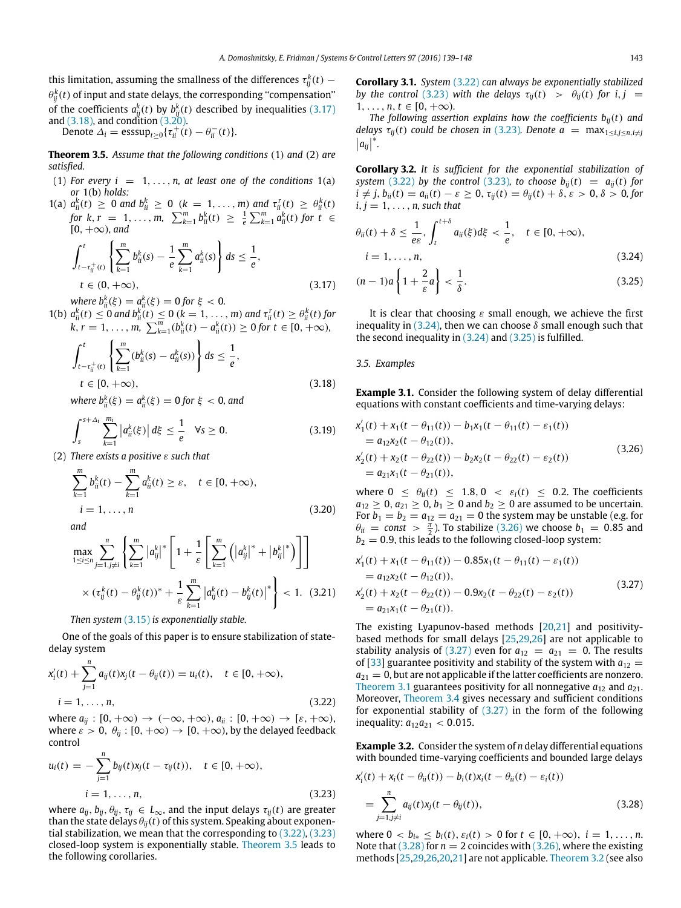this limitation, assuming the smallness of the differences  $\tau_{ij}^k(t)$   $\theta^k_{ij}(t)$  of input and state delays, the corresponding "compensation" of the coefficients  $a_{ij}^k(t)$  by  $b_{ij}^k(t)$  described by inequalities [\(3.17\)](#page-4-5) and [\(3.18\),](#page-4-6) and condition [\(3.20\).](#page-4-7)

<span id="page-4-0"></span>Denote  $\Delta_i = \text{esssup}_{t \geq 0} {\{\tau_{ii}^+(t) - \theta_{ii}^-(t)\}}.$ 

**Theorem 3.5.** *Assume that the following conditions* (1) *and* (2) *are satisfied.*

- (1) For every  $i = 1, \ldots, n$ , at least one of the conditions  $1(a)$ *or* 1(b) *holds:*
- 1(a)  $a_{ii}^k(t) \ge 0$  and  $b_{ii}^k \ge 0$  ( $k = 1, ..., m$ ) and  $\tau_{ii}^r(t) \ge \theta_{ii}^k(t)$ *for*  $k, r = 1, ..., m$ ,  $\sum_{k=1}^{m} b_{ii}^{k}(t) \geq \frac{1}{e} \sum_{k=1}^{m} a_{ii}^{k}(t)$  *for*  $t \in$  $[0, +\infty)$ *, and*

$$
\int_{t-\tau_{ii}^{+}(t)}^{t} \left\{ \sum_{k=1}^{m} b_{ii}^{k}(s) - \frac{1}{e} \sum_{k=1}^{m} a_{ii}^{k}(s) \right\} ds \leq \frac{1}{e},
$$
\n
$$
t \in (0, +\infty),
$$
\n
$$
\text{where } k \geq 0, \quad k \geq 0, \quad \text{for } k \geq 0.
$$
\n
$$
(3.17)
$$

*where*  $b_{ii}^{k}(\xi) = a_{ii}^{k}(\xi) = 0$  for  $\xi < 0$ .

1(b)  $a_{ii}^k(t) \le 0$  and  $b_{ii}^k(t) \le 0$  ( $k = 1, ..., m$ ) and  $\tau_{ii}^r(t) \ge \theta_{ii}^k(t)$  for  $k, r = 1, \ldots, m, \sum_{k=1}^{m} (b_{ii}^k(t) - a_{ii}^k(t)) \ge 0$  for  $t \in [0, +\infty)$ *,* 

$$
\int_{t-\tau_{ii}^{+}(t)}^{t} \left\{ \sum_{k=1}^{m} (b_{ii}^{k}(s) - a_{ii}^{k}(s)) \right\} ds \le \frac{1}{e},
$$
\n
$$
t \in [0, +\infty),
$$
\n
$$
\text{where } b_{i}^{k}(s) = a_{ii}^{k}(s), \quad 0 \text{ for } t \in [0, +\infty). \tag{3.18}
$$

 $where b^k_{ii}(\xi) = a^k_{ii}(\xi) = 0$  for  $\xi < 0$ , and

$$
\int_{s}^{s+\Delta_{i}}\sum_{k=1}^{m_{i}}\left|a_{ii}^{k}(\xi)\right|d\xi\leq\frac{1}{e} \quad \forall s\geq 0. \tag{3.19}
$$

(2) *There exists a positive* ε *such that*

$$
\sum_{k=1}^{m} b_{ii}^{k}(t) - \sum_{k=1}^{m} a_{ii}^{k}(t) \ge \varepsilon, \quad t \in [0, +\infty),
$$
  
\n $i = 1, ..., n$  (3.20)

*and*

$$
\max_{1 \le i \le n} \sum_{j=1, j \ne i}^{n} \left\{ \sum_{k=1}^{m} |a_{ij}^{k}|^{*} \left[ 1 + \frac{1}{\varepsilon} \left[ \sum_{k=1}^{m} \left( |a_{ij}^{k}|^{*} + |b_{ij}^{k}|^{*} \right) \right] \right] \right\} \times (\tau_{ij}^{k}(t) - \theta_{ij}^{k}(t))^{*} + \frac{1}{\varepsilon} \sum_{k=1}^{m} |a_{ij}^{k}(t) - b_{ij}^{k}(t)|^{*} \right\} < 1. (3.21)
$$

*Then system* [\(3.15\)](#page-3-7) *is exponentially stable.*

One of the goals of this paper is to ensure stabilization of statedelay system

$$
x'_{i}(t) + \sum_{j=1}^{n} a_{ij}(t)x_{j}(t - \theta_{ij}(t)) = u_{i}(t), \quad t \in [0, +\infty),
$$
  
\n
$$
i = 1, ..., n,
$$
\n(3.22)

where  $a_{ij}: [0, +\infty) \to (-\infty, +\infty)$ ,  $a_{ii}: [0, +\infty) \to [\varepsilon, +\infty)$ , where  $\varepsilon > 0$ ,  $\theta_{ii} : [0, +\infty) \to [0, +\infty)$ , by the delayed feedback control

$$
u_i(t) = -\sum_{j=1}^n b_{ij}(t)x_j(t - \tau_{ij}(t)), \quad t \in [0, +\infty),
$$
  

$$
i = 1, ..., n,
$$
 (3.23)

where  $a_{ij}, b_{ij}, \theta_{ij}, \tau_{ij} \in L_{\infty}$ , and the input delays  $\tau_{ij}(t)$  are greater than the state delays  $\theta_{ij}(t)$  of this system. Speaking about exponential stabilization, we mean that the corresponding to [\(3.22\),](#page-4-1) [\(3.23\)](#page-4-2) closed-loop system is exponentially stable. [Theorem 3.5](#page-4-0) leads to the following corollaries.

<span id="page-4-3"></span>**Corollary 3.1.** *System* [\(3.22\)](#page-4-1) *can always be exponentially stabilized by the control* [\(3.23\)](#page-4-2) *with the delays*  $\tau_{ii}(t) > \theta_{ii}(t)$  *for i*, *j* =  $1, \ldots, n, t \in [0, +\infty)$ .

*The following assertion explains how the coefficients*  $b_{ii}(t)$  *and delays*  $\tau_{ij}(t)$  *could be chosen in* [\(3.23\)](#page-4-2)*. Denote a* = max $_{1 \le i,j \le n, i \ne j}$  $|a_{ij}|$ ∗ *.*

<span id="page-4-4"></span>**Corollary 3.2.** *It is sufficient for the exponential stabilization of system* [\(3.22\)](#page-4-1) *by the control* [\(3.23\)](#page-4-2)*, to choose*  $b_{ii}(t) = a_{ii}(t)$  *for*  $i \neq j$ ,  $b_{ii}(t) = a_{ii}(t) - \varepsilon \geq 0$ ,  $\tau_{ii}(t) = \theta_{ii}(t) + \delta$ ,  $\varepsilon > 0$ ,  $\delta > 0$ , for  $i, j = 1, \ldots, n$ , such that

$$
\theta_{ii}(t) + \delta \le \frac{1}{e\varepsilon}, \int_{t}^{t+\delta} a_{ii}(\xi) d\xi < \frac{1}{e}, \quad t \in [0, +\infty),
$$
  

$$
i = 1, \dots, n,
$$
 (3.24)

<span id="page-4-9"></span><span id="page-4-8"></span><span id="page-4-5"></span>
$$
(n-1)a\left\{1+\frac{2}{\varepsilon}a\right\}<\frac{1}{\delta}.
$$
\n(3.25)

It is clear that choosing  $\varepsilon$  small enough, we achieve the first inequality in [\(3.24\),](#page-4-8) then we can choose  $\delta$  small enough such that the second inequality in  $(3.24)$  and  $(3.25)$  is fulfilled.

#### *3.5. Examples*

<span id="page-4-6"></span>**Example 3.1.** Consider the following system of delay differential equations with constant coefficients and time-varying delays:

<span id="page-4-14"></span><span id="page-4-10"></span>
$$
x'_1(t) + x_1(t - \theta_{11}(t)) - b_1 x_1(t - \theta_{11}(t) - \varepsilon_1(t))
$$
  
=  $a_{12}x_2(t - \theta_{12}(t)),$   

$$
x'_2(t) + x_2(t - \theta_{22}(t)) - b_2 x_2(t - \theta_{22}(t) - \varepsilon_2(t))
$$
  
=  $a_{21}x_1(t - \theta_{21}(t)),$  (3.26)

<span id="page-4-7"></span>where  $0 \leq \theta_{ii}(t) \leq 1.8$ ,  $0 < \varepsilon_i(t) \leq 0.2$ . The coefficients  $a_{12} \geq 0$ ,  $a_{21} \geq 0$ ,  $b_1 \geq 0$  and  $b_2 \geq 0$  are assumed to be uncertain. For  $b_1 = b_2 = a_{12} = a_{21} = 0$  the system may be unstable (e.g. for  $\theta_{ii}$  = *const* >  $\frac{\pi}{2}$ ). To stabilize [\(3.26\)](#page-4-10) we choose  $b_1$  = 0.85 and  $b_2 = 0.9$ , this leads to the following closed-loop system:

<span id="page-4-13"></span><span id="page-4-11"></span>
$$
x'_1(t) + x_1(t - \theta_{11}(t)) - 0.85x_1(t - \theta_{11}(t) - \varepsilon_1(t))
$$
  
=  $a_{12}x_2(t - \theta_{12}(t)),$   

$$
x'_2(t) + x_2(t - \theta_{22}(t)) - 0.9x_2(t - \theta_{22}(t) - \varepsilon_2(t))
$$
  
=  $a_{21}x_1(t - \theta_{21}(t)).$  (3.27)

The existing Lyapunov-based methods [\[20](#page-8-9)[,21\]](#page-8-10) and positivitybased methods for small delays [\[25,](#page-8-16)[29](#page-9-0)[,26\]](#page-8-20) are not applicable to stability analysis of [\(3.27\)](#page-4-11) even for  $a_{12} = a_{21} = 0$ . The results of [\[33\]](#page-9-4) guarantee positivity and stability of the system with  $a_{12} =$  $a_{21} = 0$ , but are not applicable if the latter coefficients are nonzero. [Theorem 3.1](#page-2-5) guarantees positivity for all nonnegative  $a_{12}$  and  $a_{21}$ . Moreover, [Theorem 3.4](#page-3-1) gives necessary and sufficient conditions for exponential stability of  $(3.27)$  in the form of the following inequality:  $a_{12}a_{21} < 0.015$ .

<span id="page-4-1"></span>**Example 3.2.** Consider the system of *n* delay differential equations with bounded time-varying coefficients and bounded large delays

<span id="page-4-12"></span><span id="page-4-2"></span>
$$
x'_{i}(t) + x_{i}(t - \theta_{ii}(t)) - b_{i}(t)x_{i}(t - \theta_{ii}(t) - \varepsilon_{i}(t))
$$
  
= 
$$
\sum_{j=1, j \neq i}^{n} a_{ij}(t)x_{j}(t - \theta_{ij}(t)),
$$
 (3.28)

where  $0 < b_{i*} \leq b_i(t)$ ,  $\varepsilon_i(t) > 0$  for  $t \in [0, +\infty)$ ,  $i = 1, ..., n$ . Note that  $(3.28)$  for  $n = 2$  coincides with  $(3.26)$ , where the existing methods [\[25](#page-8-16)[,29,](#page-9-0)[26](#page-8-20)[,20,](#page-8-9)[21\]](#page-8-10) are not applicable. [Theorem 3.2](#page-2-1) (see also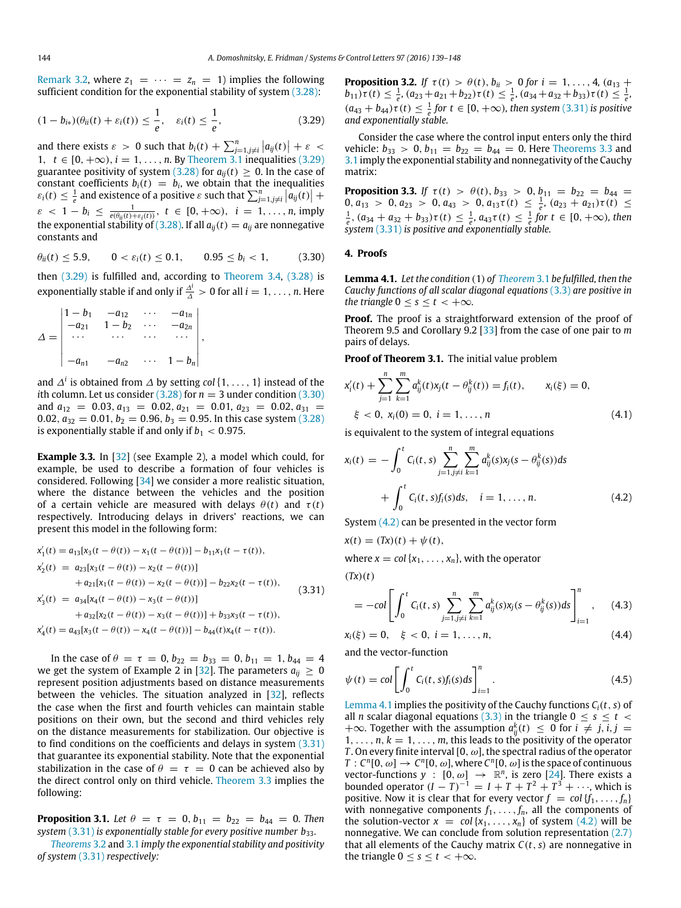[Remark 3.2,](#page-3-8) where  $z_1 = \cdots = z_n = 1$ ) implies the following sufficient condition for the exponential stability of system [\(3.28\):](#page-4-12)

$$
(1-b_{i*})(\theta_{ii}(t)+\varepsilon_i(t))\leq \frac{1}{e}, \quad \varepsilon_i(t)\leq \frac{1}{e}, \quad (3.29)
$$

and there exists  $\varepsilon > 0$  such that  $b_i(t) + \sum_{j=1, j\neq i}^{n} |a_{ij}(t)| + \varepsilon < 1$ ,  $t \in [0, +\infty)$ ,  $i = 1, ..., n$ . By [Theorem 3.1](#page-2-5) inequalities [\(3.29\)](#page-5-1) guarantee positivity of system [\(3.28\)](#page-4-12) for  $a_{ii}(t) \geq 0$ . In the case of constant coefficients  $b_i(t) = b_i$ , we obtain that the inequalities  $\varepsilon_i(t) \leq \frac{1}{e}$  and existence of a positive  $\varepsilon$  such that  $\sum_{j=1, j\neq i}^{n} \left| a_{ij}(t) \right| +$  $\varepsilon$  < 1 - *b*<sub>*i*</sub>  $\leq \frac{1}{e(\theta_{ii}(t) + \varepsilon_i(t))}$ , *t*  $\in [0, +\infty)$ , *i* = 1, ..., *n*, imply the exponential stability of [\(3.28\).](#page-4-12) If all  $a_{ij}(t) = a_{ij}$  are nonnegative constants and

$$
\theta_{ii}(t) \le 5.9, \qquad 0 < \varepsilon_i(t) \le 0.1, \qquad 0.95 \le b_i < 1,\tag{3.30}
$$

then [\(3.29\)](#page-5-1) is fulfilled and, according to [Theorem 3.4,](#page-3-1) [\(3.28\)](#page-4-12) is exponentially stable if and only if  $\frac{\Delta^i}{\Delta} > 0$  for all  $i = 1, \ldots, n$ . Here

$$
\Delta = \begin{vmatrix}\n1 - b_1 & -a_{12} & \cdots & -a_{1n} \\
-a_{21} & 1 - b_2 & \cdots & -a_{2n} \\
\vdots & \vdots & \ddots & \vdots \\
-a_{n1} & -a_{n2} & \cdots & 1 - b_n\n\end{vmatrix},
$$

and ∆*<sup>i</sup>* is obtained from ∆ by setting *col*{1, . . . , 1} instead of the *i*th column. Let us consider  $(3.28)$  for  $n = 3$  under condition  $(3.30)$ and  $a_{12} = 0.03, a_{13} = 0.02, a_{21} = 0.01, a_{23} = 0.02, a_{31} =$ 0.02,  $a_{32} = 0.01$ ,  $b_2 = 0.96$ ,  $b_3 = 0.95$ . In this case system [\(3.28\)](#page-4-12) is exponentially stable if and only if  $b_1 < 0.975$ .

**Example 3.3.** In [\[32\]](#page-9-3) (see Example 2), a model which could, for example, be used to describe a formation of four vehicles is considered. Following [\[34\]](#page-9-5) we consider a more realistic situation, where the distance between the vehicles and the position of a certain vehicle are measured with delays  $\theta(t)$  and  $\tau(t)$ respectively. Introducing delays in drivers' reactions, we can present this model in the following form:

$$
x'_1(t) = a_{13}[x_3(t - \theta(t)) - x_1(t - \theta(t))] - b_{11}x_1(t - \tau(t)),
$$
  
\n
$$
x'_2(t) = a_{23}[x_3(t - \theta(t)) - x_2(t - \theta(t))] + a_{21}[x_1(t - \theta(t)) - x_2(t - \theta(t))] - b_{22}x_2(t - \tau(t)),
$$
  
\n
$$
x'_3(t) = a_{34}[x_4(t - \theta(t)) - x_3(t - \theta(t))] + a_{32}[x_2(t - \theta(t)) - x_3(t - \theta(t))] + b_{33}x_3(t - \tau(t)),
$$
  
\n
$$
x'_4(t) = a_{43}[x_3(t - \theta(t)) - x_4(t - \theta(t))] - b_{44}(t)x_4(t - \tau(t)).
$$
\n(3.31)

In the case of  $\theta = \tau = 0$ ,  $b_{22} = b_{33} = 0$ ,  $b_{11} = 1$ ,  $b_{44} = 4$ we get the system of Example 2 in [\[32\]](#page-9-3). The parameters  $a_{ii} > 0$ represent position adjustments based on distance measurements between the vehicles. The situation analyzed in [\[32\]](#page-9-3), reflects the case when the first and fourth vehicles can maintain stable positions on their own, but the second and third vehicles rely on the distance measurements for stabilization. Our objective is to find conditions on the coefficients and delays in system [\(3.31\)](#page-5-3) that guarantee its exponential stability. Note that the exponential stabilization in the case of  $\theta = \tau = 0$  can be achieved also by the direct control only on third vehicle. [Theorem 3.3](#page-3-0) implies the following:

**Proposition 3.1.** Let  $\theta = \tau = 0, b_{11} = b_{22} = b_{44} = 0$ . Then *system* [\(3.31\)](#page-5-3) *is exponentially stable for every positive number b*<sub>33</sub>*.* 

*[Theorems](#page-2-1)* 3.2 and [3.1](#page-2-5) *imply the exponential stability and positivity of system* [\(3.31\)](#page-5-3) *respectively:*

**Proposition 3.2.** *If*  $\tau(t) > \theta(t)$ ,  $b_{ii} > 0$  for  $i = 1, ..., 4$ ,  $(a_{13} + a_{14})$  $b_{11}$ ) $\tau$ (*t*)  $\leq \frac{1}{e}$ , ( $a_{23} + a_{21} + b_{22}$ ) $\tau$ (*t*)  $\leq \frac{1}{e}$ , ( $a_{34} + a_{32} + b_{33}$ ) $\tau$ (*t*)  $\leq \frac{1}{e}$ ,  $(a_{43} + b_{44})\tau(t) \leq \frac{1}{e}$  for  $t \in [0, +\infty)$ , then system [\(3.31\)](#page-5-3) is positive *and exponentially stable.*

<span id="page-5-1"></span>Consider the case where the control input enters only the third vehicle:  $b_{33} > 0$ ,  $b_{11} = b_{22} = b_{44} = 0$ . Here [Theorems 3.3](#page-3-0) and [3.1](#page-2-5) imply the exponential stability and nonnegativity of the Cauchy matrix:

**Proposition 3.3.** *If*  $\tau(t) > \theta(t)$ ,  $b_{33} > 0$ ,  $b_{11} = b_{22} = b_{44}$  $0, a_{13} > 0, a_{23} > 0, a_{43} > 0, a_{13}\tau(t) \leq \frac{1}{e}, (a_{23} + a_{21})\tau(t) \leq$  $\frac{1}{e}$ ,  $(a_{34} + a_{32} + b_{33})\tau(t) \leq \frac{1}{e}$ ,  $a_{43}\tau(t) \leq \frac{1}{e}$  for  $t \in [0, +\infty)$ , then *system* [\(3.31\)](#page-5-3) *is positive and exponentially stable.*

#### <span id="page-5-2"></span><span id="page-5-0"></span>**4. Proofs**

<span id="page-5-5"></span>**Lemma 4.1.** *Let the condition* (1) *of [Theorem](#page-2-5)* 3.1 *be fulfilled, then the Cauchy functions of all scalar diagonal equations* [\(3.3\)](#page-2-9) *are positive in the triangle*  $0 \leq s \leq t \leq +\infty$ *.* 

**Proof.** The proof is a straightforward extension of the proof of Theorem 9.5 and Corollary 9.2 [\[33\]](#page-9-4) from the case of one pair to *m* pairs of delays.

**Proof of Theorem 3.1.** The initial value problem

<span id="page-5-4"></span>
$$
x'_{i}(t) + \sum_{j=1}^{n} \sum_{k=1}^{m} a^{k}_{ij}(t)x_{j}(t - \theta^{k}_{ij}(t)) = f_{i}(t), \qquad x_{i}(\xi) = 0,
$$
  

$$
\xi < 0, x_{i}(0) = 0, i = 1, ..., n
$$
 (4.1)

is equivalent to the system of integral equations

$$
x_i(t) = -\int_0^t C_i(t, s) \sum_{j=1, j\neq i}^n \sum_{k=1}^m a_{ij}^k(s) x_j(s - \theta_{ij}^k(s)) ds
$$
  
+ 
$$
\int_0^t C_i(t, s) f_i(s) ds, \quad i = 1, ..., n.
$$
 (4.2)

System  $(4.2)$  can be presented in the vector form

<span id="page-5-3"></span>
$$
x(t) = (Tx)(t) + \psi(t),
$$

where  $x = col\{x_1, \ldots, x_n\}$ , with the operator

 $(Tx)(t)$ 

<span id="page-5-6"></span>
$$
= -col \left[ \int_0^t C_i(t,s) \sum_{j=1, j \neq i}^n \sum_{k=1}^m a_{ij}^k(s) x_j(s - \theta_{ij}^k(s)) ds \right]_{i=1}^n, \quad (4.3)
$$

$$
x_i(\xi) = 0, \quad \xi < 0, \ i = 1, \dots, n,\tag{4.4}
$$

and the vector-function

$$
\psi(t) = col \left[ \int_0^t C_i(t, s) f_i(s) ds \right]_{i=1}^n.
$$
\n(4.5)

[Lemma 4.1](#page-5-5) implies the positivity of the Cauchy functions  $C_i(t, s)$  of all *n* scalar diagonal equations [\(3.3\)](#page-2-9) in the triangle  $0 < s < t <$ +∞. Together with the assumption  $a_{ij}^k(t) \leq 0$  for  $i \neq j$ ,  $i, j =$  $1, \ldots, n, k = 1, \ldots, m$ , this leads to the positivity of the operator *T*. On every finite interval [0,  $\omega$ ], the spectral radius of the operator  $T: C^n[0, \omega] \to C^n[0, \omega]$ , where  $C^n[0, \omega]$  is the space of continuous vector-functions  $y : [0, \omega] \rightarrow \mathbb{R}^n$ , is zero [\[24\]](#page-8-14). There exists a bounded operator  $(I - T)^{-1} = I + T + T^2 + T^3 + \cdots$ , which is positive. Now it is clear that for every vector  $f = col{f_1, \ldots, f_n}$ with nonnegative components  $f_1, \ldots, f_n$ , all the components of the solution-vector  $x = col\{x_1, \ldots, x_n\}$  of system [\(4.2\)](#page-5-4) will be nonnegative. We can conclude from solution representation [\(2.7\)](#page-1-7) that all elements of the Cauchy matrix  $C(t, s)$  are nonnegative in the triangle  $0 \leq s \leq t < +\infty$ .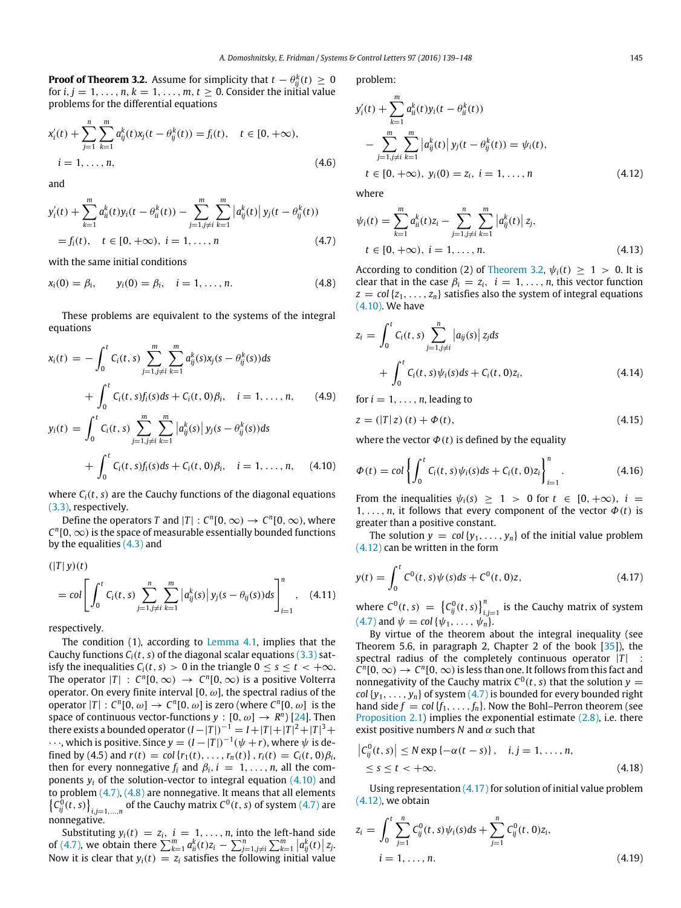**Proof of Theorem 3.2.** Assume for simplicity that  $t - \theta_{ij}^k(t) \geq 0$ for  $i, j = 1, \ldots, n, k = 1, \ldots, m, t \ge 0$ . Consider the initial value problems for the differential equations

$$
x'_{i}(t) + \sum_{j=1}^{n} \sum_{k=1}^{m} a_{ij}^{k}(t)x_{j}(t - \theta_{ij}^{k}(t)) = f_{i}(t), \quad t \in [0, +\infty),
$$
  
\n
$$
i = 1, ..., n,
$$
\n(4.6)

and

$$
y'_{i}(t) + \sum_{k=1}^{m} a_{ii}^{k}(t)y_{i}(t - \theta_{ii}^{k}(t)) - \sum_{j=1, j \neq i}^{m} \sum_{k=1}^{m} |a_{ij}^{k}(t)| y_{j}(t - \theta_{ij}^{k}(t))
$$
  
=  $f_{i}(t), \quad t \in [0, +\infty), \quad i = 1, ..., n$  (4.7)

with the same initial conditions

$$
x_i(0) = \beta_i, \qquad y_i(0) = \beta_i, \quad i = 1, \dots, n. \tag{4.8}
$$

These problems are equivalent to the systems of the integral equations

$$
x_i(t) = -\int_0^t C_i(t, s) \sum_{j=1, j\neq i}^m \sum_{k=1}^m a_{ij}^k(s) x_j(s - \theta_{ij}^k(s)) ds
$$
  
+ 
$$
\int_0^t C_i(t, s) f_i(s) ds + C_i(t, 0) \beta_i, \quad i = 1, ..., n, \qquad (4.9)
$$
  

$$
y_i(t) = \int_0^t C_i(t, s) \sum_{j=1}^m \sum_{j=1}^m |a_{ij}^k(s)| y_i(s - \theta_{ij}^k(s)) ds
$$

$$
y_i(t) = \int_0^t C_i(t, s) \sum_{j=1, j \neq i} \sum_{k=1}^{\infty} |a_{ij}^k(s)| y_j(s - \theta_{ij}^k(s)) ds
$$
  
+ 
$$
\int_0^t C_i(t, s) f_i(s) ds + C_i(t, 0) \beta_i, \quad i = 1, ..., n, \quad (4.10)
$$

where  $C_i(t, s)$  are the Cauchy functions of the diagonal equations [\(3.3\),](#page-2-9) respectively.

Define the operators *T* and  $|T|$  :  $C^n[0,\infty) \to C^n[0,\infty)$ , where  $C<sup>n</sup>[0, \infty)$  is the space of measurable essentially bounded functions by the equalities  $(4.3)$  and

$$
(|T| y)(t)
$$
  
= col  $\left[ \int_0^t C_i(t, s) \sum_{j=1, j \neq i}^n \sum_{k=1}^m |a_{ij}^k(s)| y_j(s - \theta_{ij}(s)) ds \right]_{i=1}^n$ , (4.11)

respectively.

The condition (1), according to [Lemma 4.1,](#page-5-5) implies that the Cauchy functions  $C_i(t, s)$  of the diagonal scalar equations [\(3.3\)](#page-2-9) satisfy the inequalities  $C_i(t, s) > 0$  in the triangle  $0 \le s \le t < +\infty$ . The operator  $|T|$  :  $C^n[0,\infty) \to C^n[0,\infty)$  is a positive Volterra operator. On every finite interval  $[0, \omega]$ , the spectral radius of the operator  $|T|: C^{n}[0, \omega] \to C^{n}[0, \omega]$  is zero (where  $C^{n}[0, \omega]$  is the space of continuous vector-functions  $y : [0, \omega] \rightarrow R^n$  [\[24\]](#page-8-14). Then there exists a bounded operator  $(I - |T|)^{-1} = I + |T| + |T|^2 + |T|^3 + I$  $\cdots$ , which is positive. Since  $y = (I - |T|)^{-1}(\psi + r)$ , where  $\psi$  is defined by (4.5) and  $r(t) = \text{col}\{r_1(t), \ldots, r_n(t)\}, r_i(t) = C_i(t, 0)\beta_i$ then for every nonnegative  $f_i$  and  $\beta_i$ ,  $i = 1, \ldots, n$ , all the components  $y_i$  of the solution-vector to integral equation  $(4.10)$  and to problem [\(4.7\),](#page-6-1) [\(4.8\)](#page-6-2) are nonnegative. It means that all elements  ${C_{ij}^0(t,s)}_{i,j=1,...,n}$  of the Cauchy matrix  $C^0(t,s)$  of system [\(4.7\)](#page-6-1) are nonnegative.

Substituting  $y_i(t) = z_i$ ,  $i = 1, ..., n$ , into the left-hand side of [\(4.7\),](#page-6-1) we obtain there  $\sum_{k=1}^{m} a_{ii}^{k}(t)z_{i} - \sum_{j=1, j\neq i}^{n} \sum_{j=1}^{m} |a_{ij}^{k}(t)|z_{j}$ . Now it is clear that  $y_i(t) = z_i$  satisfies the following initial value problem:

$$
y'_{i}(t) + \sum_{k=1}^{m} a_{ii}^{k}(t)y_{i}(t - \theta_{ii}^{k}(t))
$$
  
- 
$$
\sum_{j=1, j \neq i}^{m} \sum_{k=1}^{m} |a_{ij}^{k}(t)| y_{j}(t - \theta_{ij}^{k}(t)) = \psi_{i}(t),
$$
  

$$
t \in [0, +\infty), y_{i}(0) = z_{i}, i = 1, ..., n
$$
 (4.12)

<span id="page-6-5"></span><span id="page-6-3"></span>where

<span id="page-6-1"></span>
$$
\psi_i(t) = \sum_{k=1}^m a_{ii}^k(t) z_i - \sum_{j=1, j \neq i}^n \sum_{k=1}^m |a_{ij}^k(t)| z_j,
$$
  
\n
$$
t \in [0, +\infty), \quad i = 1, ..., n.
$$
\n(4.13)

<span id="page-6-2"></span>According to condition (2) of [Theorem 3.2,](#page-2-1)  $\psi_i(t) \geq 1 > 0$ . It is clear that in the case  $\beta_i = z_i$ ,  $i = 1, \ldots, n$ , this vector function  $z = \text{col}\{z_1, \ldots, z_n\}$  satisfies also the system of integral equations [\(4.10\).](#page-6-0) We have

$$
z_{i} = \int_{0}^{t} C_{i}(t, s) \sum_{j=1, j \neq i}^{n} |a_{ij}(s)| z_{j} ds
$$
  
+ 
$$
\int_{0}^{t} C_{i}(t, s) \psi_{i}(s) ds + C_{i}(t, 0) z_{i},
$$
 (4.14)

for  $i = 1, \ldots, n$ , leading to

$$
z = (|T|z)(t) + \Phi(t),
$$
\n(4.15)

where the vector  $\Phi(t)$  is defined by the equality

<span id="page-6-0"></span>
$$
\Phi(t) = col \left\{ \int_0^t C_i(t, s) \psi_i(s) ds + C_i(t, 0) z_i \right\}_{i=1}^n.
$$
\n(4.16)

From the inequalities  $\psi_i(s) \geq 1 > 0$  for  $t \in [0, +\infty)$ ,  $i =$ 1, ..., *n*, it follows that every component of the vector  $\Phi(t)$  is greater than a positive constant.

The solution  $y = col{y_1, \ldots, y_n}$  of the initial value problem [\(4.12\)](#page-6-3) can be written in the form

<span id="page-6-4"></span>
$$
y(t) = \int_0^t C^0(t, s)\psi(s)ds + C^0(t, 0)z,
$$
\n(4.17)

where  $C^0(t, s) = \left\{ C_{ij}^0(t, s) \right\}_{i,j=1}^n$  is the Cauchy matrix of system [\(4.7\)](#page-6-1) and  $\psi = \text{col} \{ \psi_1, \ldots, \psi_n \}.$ 

By virtue of the theorem about the integral inequality (see Theorem 5.6, in paragraph 2, Chapter 2 of the book  $[35]$ , the spectral radius of the completely continuous operator  $|T|$  :  $C^n[0,\infty) \to C^n[0,\infty)$  is less than one. It follows from this fact and nonnegativity of the Cauchy matrix  $C^0(t, s)$  that the solution  $y =$ *col*  $\{y_1, \ldots, y_n\}$  of system  $(4.7)$  is bounded for every bounded right hand side  $f = col{f_1, \ldots, f_n}$ . Now the Bohl–Perron theorem (see [Proposition 2.1\)](#page-1-8) implies the exponential estimate [\(2.8\),](#page-1-5) i.e. there exist positive numbers  $N$  and  $\alpha$  such that

$$
\begin{aligned} \left|C_{ij}^{0}(t,s)\right| &\leq N \exp\left\{-\alpha(t-s)\right\}, \quad i,j=1,\ldots,n, \\ &\leq s \leq t < +\infty. \end{aligned} \tag{4.18}
$$

Using representation [\(4.17\)](#page-6-4) for solution of initial value problem [\(4.12\),](#page-6-3) we obtain

$$
z_i = \int_0^t \sum_{j=1}^n C_{ij}^0(t, s) \psi_i(s) ds + \sum_{j=1}^n C_{ij}^0(t, 0) z_i,
$$
  
\n $i = 1, ..., n.$  (4.19)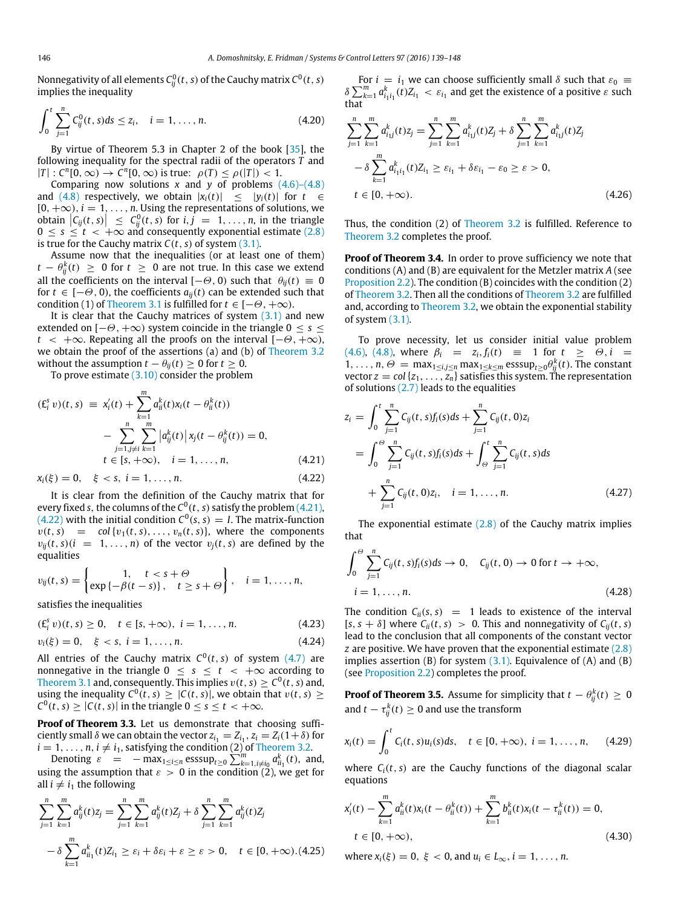Nonnegativity of all elements  $\mathcal{C}_{ij}^0(t,s)$  of the Cauchy matrix  $\mathcal{C}^0(t,s)$ implies the inequality

$$
\int_0^t \sum_{j=1}^n C_{ij}^0(t,s)ds \le z_i, \quad i = 1,\ldots,n. \tag{4.20}
$$

By virtue of Theorem 5.3 in Chapter 2 of the book [\[35\]](#page-9-6), the following inequality for the spectral radii of the operators *T* and  $|T|$ :  $C^n[0,\infty) \to C^n[0,\infty)$  is true:  $\rho(T) \le \rho(|T|) < 1$ .

Comparing now solutions  $x$  and  $y$  of problems  $(4.6)$ – $(4.8)$ and [\(4.8\)](#page-6-2) respectively, we obtain  $|x_i(t)| \le |y_i(t)|$  for  $t \in$  $[0, +\infty)$ ,  $i = 1, \ldots, n$ . Using the representations of solutions, we obtain  $|C_{ij}(t, s)| \leq C_{ij}^{0}(t, s)$  for  $i, j = 1, ..., n$ , in the triangle  $0 \leq s \leq t < +\infty$  and consequently exponential estimate [\(2.8\)](#page-1-5) is true for the Cauchy matrix  $C(t, s)$  of system [\(3.1\).](#page-2-8)

Assume now that the inequalities (or at least one of them) *t* −  $\theta_{ij}^k(t)$  ≥ 0 for *t* ≥ 0 are not true. In this case we extend all the coefficients on the interval  $[-\Theta, 0)$  such that  $\theta_{ii}(t) \equiv 0$ for  $t \in [-\Theta, 0)$ , the coefficients  $a_{ii}(t)$  can be extended such that condition (1) of [Theorem 3.1](#page-2-5) is fulfilled for  $t \in [-\Theta, +\infty)$ .

It is clear that the Cauchy matrices of system  $(3.1)$  and new extended on  $[-\Theta, +\infty)$  system coincide in the triangle  $0 \leq s \leq$  $t < +\infty$ . Repeating all the proofs on the interval  $[-\Theta, +\infty)$ , we obtain the proof of the assertions (a) and (b) of [Theorem 3.2](#page-2-1) without the assumption  $t - \theta_{ii}(t) \geq 0$  for  $t \geq 0$ .

To prove estimate  $(3.10)$  consider the problem

$$
(E_i^s v)(t, s) \equiv x'_i(t) + \sum_{k=1}^m a_{ii}^k(t)x_i(t - \theta_{ii}^k(t))
$$
  

$$
- \sum_{\substack{j=1, j \neq i}}^n \sum_{k=1}^m |a_{ij}^k(t)| x_j(t - \theta_{ij}^k(t)) = 0,
$$
  
 $t \in [s, +\infty), \quad i = 1, ..., n,$  (4.21)

 $x_i(\xi) = 0, \quad \xi < s, \ i = 1, \ldots, n.$  (4.22)

It is clear from the definition of the Cauchy matrix that for every fixed *s*, the columns of the *C* 0 (*t*, *s*) satisfy the problem [\(4.21\),](#page-7-0)  $(4.22)$  with the initial condition  $C^0(s, s) = I$ . The matrix-function  $v(t, s) = col{v_1(t, s), \ldots, v_n(t, s)}$ , where the components  $v_{ij}(t, s)$   $(i = 1, \ldots, n)$  of the vector  $v_j(t, s)$  are defined by the equalities

$$
v_{ij}(t,s) = \begin{cases} 1, & t < s + \Theta \\ \exp\{-\beta(t-s)\}, & t \geq s + \Theta \end{cases}, \quad i = 1, \ldots, n,
$$

satisfies the inequalities

$$
(\mathbf{E}_{i}^{s} v)(t, s) \geq 0, \quad t \in [s, +\infty), \ i = 1, \dots, n. \tag{4.23}
$$

$$
v_i(\xi) = 0, \quad \xi < s, \ i = 1, \dots, n. \tag{4.24}
$$

All entries of the Cauchy matrix  $C^0(t,s)$  of system  $(4.7)$  are nonnegative in the triangle  $0 \leq s \leq t < +\infty$  according to [Theorem 3.1](#page-2-5) and, consequently. This implies  $v(t,s) \geq C^0(t,s)$  and, using the inequality  $C^0(t, s) \geq |C(t, s)|$ , we obtain that  $v(t, s) \geq$  $C^0(t, s) \geq |C(t, s)|$  in the triangle  $0 \leq s \leq t < +\infty$ .

**Proof of Theorem 3.3.** Let us demonstrate that choosing sufficiently small  $\delta$  we can obtain the vector  $z_{i_1} = Z_{i_1}, z_i = Z_i(1+\delta)$  for  $i = 1, \ldots, n, i \neq i_1$ , satisfying the condition (2) of [Theorem 3.2.](#page-2-1)

Denoting  $\varepsilon = -\max_{1 \le i \le n} \text{esssup}_{t \ge 0} \sum_{k=1, i \ne i_0}^{m} a_{ii_1}^k(t)$ , and, using the assumption that  $\varepsilon > 0$  in the condition (2), we get for all  $i \neq i_1$  the following

$$
\sum_{j=1}^{n} \sum_{k=1}^{m} a_{ij}^{k}(t) z_{j} = \sum_{j=1}^{n} \sum_{k=1}^{m} a_{ij}^{k}(t) z_{j} + \delta \sum_{j=1}^{n} \sum_{k=1}^{m} a_{ij}^{k}(t) z_{j}
$$

$$
- \delta \sum_{k=1}^{m} a_{ii}^{k}(t) z_{i_{1}} \ge \varepsilon_{i} + \delta \varepsilon_{i} + \varepsilon \ge \varepsilon > 0, \quad t \in [0, +\infty). (4.25)
$$

For  $i = i_1$  we can choose sufficiently small  $\delta$  such that  $\varepsilon_0 \equiv$  $\delta \sum_{k=1}^{m} a_{i_1 i_1}^k(t) Z_{i_1} < \varepsilon_{i_1}$  and get the existence of a positive  $\varepsilon$  such that

$$
\sum_{j=1}^{n} \sum_{k=1}^{m} a_{i,j}^{k}(t) z_{j} = \sum_{j=1}^{n} \sum_{k=1}^{m} a_{i,j}^{k}(t) z_{j} + \delta \sum_{j=1}^{n} \sum_{k=1}^{m} a_{i,j}^{k}(t) z_{j}
$$

$$
- \delta \sum_{k=1}^{m} a_{i_{1}i_{1}}^{k}(t) z_{i_{1}} \ge \varepsilon_{i_{1}} + \delta \varepsilon_{i_{1}} - \varepsilon_{0} \ge \varepsilon > 0,
$$

$$
t \in [0, +\infty).
$$
(4.26)

Thus, the condition (2) of [Theorem 3.2](#page-2-1) is fulfilled. Reference to [Theorem 3.2](#page-2-1) completes the proof.

**Proof of Theorem 3.4.** In order to prove sufficiency we note that conditions (A) and (B) are equivalent for the Metzler matrix *A* (see [Proposition 2.2\)](#page-2-2). The condition (B) coincides with the condition (2) of [Theorem 3.2.](#page-2-1) Then all the conditions of [Theorem 3.2](#page-2-1) are fulfilled and, according to [Theorem 3.2,](#page-2-1) we obtain the exponential stability of system [\(3.1\).](#page-2-8)

To prove necessity, let us consider initial value problem [\(4.6\),](#page-6-5) [\(4.8\),](#page-6-2) where  $\beta_i = z_i, f_i(t) \equiv 1$  for  $t \ge \Theta, i =$  $1, \ldots, n, \Theta = \max_{1 \le i,j \le n} \max_{1 \le k \le m} \mathrm{esssup}_{t \ge 0} \theta_{ij}^k(t)$ . The constant vector  $z = col\{z_1, \ldots, z_n\}$  satisfies this system. The representation of solutions [\(2.7\)](#page-1-7) leads to the equalities

<span id="page-7-0"></span>
$$
z_{i} = \int_{0}^{t} \sum_{j=1}^{n} C_{ij}(t, s) f_{i}(s) ds + \sum_{j=1}^{n} C_{ij}(t, 0) z_{i}
$$
  
= 
$$
\int_{0}^{\Theta} \sum_{j=1}^{n} C_{ij}(t, s) f_{i}(s) ds + \int_{\Theta}^{t} \sum_{j=1}^{n} C_{ij}(t, s) ds
$$
  
+ 
$$
\sum_{j=1}^{n} C_{ij}(t, 0) z_{i}, \quad i = 1, ..., n.
$$
 (4.27)

<span id="page-7-1"></span>The exponential estimate  $(2.8)$  of the Cauchy matrix implies that

$$
\int_0^{\Theta} \sum_{j=1}^n C_{ij}(t,s) f_i(s) ds \to 0, \quad C_{ij}(t,0) \to 0 \text{ for } t \to +\infty,
$$
  

$$
i = 1, ..., n. \tag{4.28}
$$

The condition  $C_{ii}(s, s) = 1$  leads to existence of the interval  $[s, s + \delta]$  where  $C_{ii}(t, s) > 0$ . This and nonnegativity of  $C_{ij}(t, s)$ lead to the conclusion that all components of the constant vector *z* are positive. We have proven that the exponential estimate [\(2.8\)](#page-1-5) implies assertion  $(B)$  for system  $(3.1)$ . Equivalence of  $(A)$  and  $(B)$ (see [Proposition 2.2\)](#page-2-2) completes the proof.

**Proof of Theorem 3.5.** Assume for simplicity that  $t - \theta_{ij}^k(t) \geq 0$ and  $t - \tau_{ij}^k(t) \geq 0$  and use the transform

<span id="page-7-2"></span>
$$
x_i(t) = \int_0^t C_i(t, s) u_i(s) ds, \quad t \in [0, +\infty), \ i = 1, ..., n,
$$
 (4.29)

where  $C_i(t, s)$  are the Cauchy functions of the diagonal scalar equations

$$
x'_{i}(t) - \sum_{k=1}^{m} a^{k}_{ii}(t)x_{i}(t - \theta^{k}_{ii}(t)) + \sum_{k=1}^{m} b^{k}_{ii}(t)x_{i}(t - \tau^{k}_{ii}(t)) = 0,
$$
  
\n
$$
t \in [0, +\infty),
$$
\n(4.30)

where  $x_i(\xi) = 0, \xi < 0$ , and  $u_i \in L_\infty$ ,  $i = 1, ..., n$ .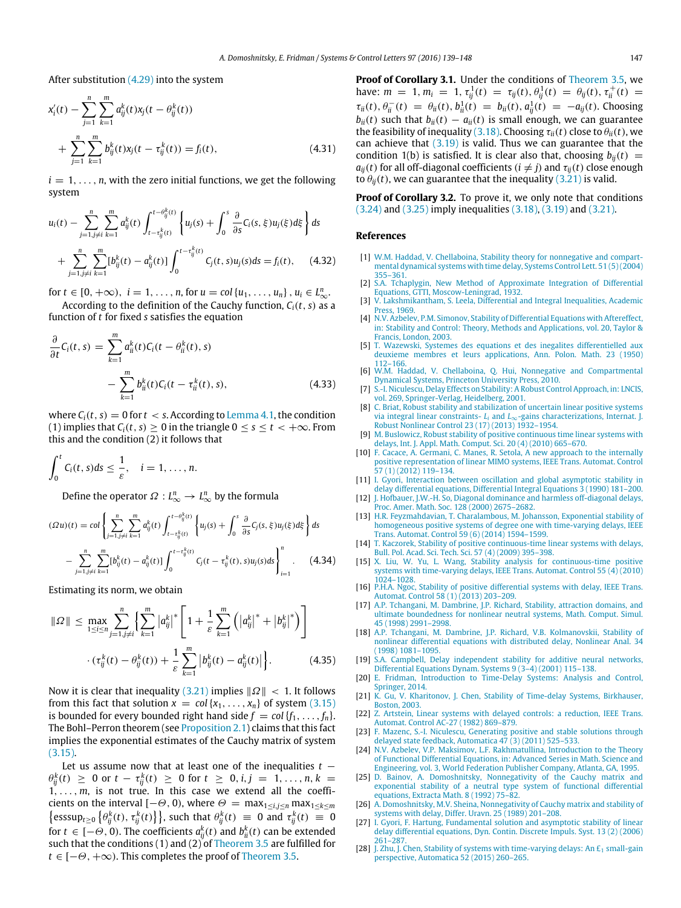After substitution [\(4.29\)](#page-7-2) into the system

$$
x'_{i}(t) - \sum_{j=1}^{n} \sum_{k=1}^{m} a^{k}_{ij}(t)x_{j}(t - \theta^{k}_{ij}(t))
$$
  
+ 
$$
\sum_{j=1}^{n} \sum_{k=1}^{m} b^{k}_{ij}(t)x_{j}(t - \tau^{k}_{ij}(t)) = f_{i}(t),
$$
 (4.31)

 $i = 1, \ldots, n$ , with the zero initial functions, we get the following system

$$
u_i(t) - \sum_{j=1, j \neq i}^{n} \sum_{k=1}^{m} a_{ij}^k(t) \int_{t-\tau_{ij}^k(t)}^{t-\theta_{ij}^k(t)} \left\{ u_j(s) + \int_0^s \frac{\partial}{\partial s} C_i(s, \xi) u_j(\xi) d\xi \right\} ds
$$
  
+ 
$$
\sum_{j=1, j \neq i}^{n} \sum_{k=1}^{m} [b_{ij}^k(t) - a_{ij}^k(t)] \int_0^{t-\tau_{ij}^k(t)} C_j(t, s) u_j(s) ds = f_i(t), \quad (4.32)
$$

for  $t \in [0, +\infty)$ ,  $i = 1, ..., n$ , for  $u = \text{col}\{u_1, ..., u_n\}$ ,  $u_i \in L^n_{\infty}$ .

According to the definition of the Cauchy function,  $C_i(t, s)$  as a function of *t* for fixed *s* satisfies the equation

$$
\frac{\partial}{\partial t}C_i(t,s) = \sum_{k=1}^m a_{ii}^k(t)C_i(t - \theta_{ii}^k(t), s) - \sum_{k=1}^m b_{ii}^k(t)C_i(t - \tau_{ii}^k(t), s),
$$
\n(4.33)

where  $C_i(t, s) = 0$  for  $t < s$ . According to [Lemma 4.1,](#page-5-5) the condition (1) implies that  $C_i(t, s) > 0$  in the triangle  $0 \le s \le t \le +\infty$ . From this and the condition (2) it follows that

$$
\int_0^t C_i(t,s)ds \leq \frac{1}{\varepsilon}, \quad i=1,\ldots,n.
$$

Define the operator  $\varOmega: L_{\infty}^n \to L_{\infty}^n$  by the formula

$$
(\Omega u)(t) = \text{col}\left\{\sum_{j=1, j\neq i}^{n} \sum_{k=1}^{m} a_{ij}^{k}(t) \int_{t-\tau_{ij}^{k}(t)}^{t-\theta_{ij}^{k}(t)} \left\{ u_{j}(s) + \int_{0}^{s} \frac{\partial}{\partial s} C_{j}(s, \xi) u_{j}(\xi) d\xi \right\} ds - \sum_{j=1, j\neq i}^{n} \sum_{k=1}^{m} [b_{ij}^{k}(t) - a_{ij}^{k}(t)] \int_{0}^{t-\tau_{ij}^{k}(t)} C_{j}(t-\tau_{ij}^{k}(t), s) u_{j}(s) ds \right\}_{i=1}^{n}.
$$
 (4.34)

Estimating its norm, we obtain

$$
\|\Omega\| \le \max_{1 \le i \le n} \sum_{j=1, j \ne i}^{n} \left\{ \sum_{k=1}^{m} \left| a_{ij}^{k} \right|^{*} \left[ 1 + \frac{1}{\varepsilon} \sum_{k=1}^{m} \left( \left| a_{ij}^{k} \right|^{*} + \left| b_{ij}^{k} \right|^{*} \right) \right] \right\} \cdot \left( \tau_{ij}^{k}(t) - \theta_{ij}^{k}(t) \right) + \frac{1}{\varepsilon} \sum_{k=1}^{m} \left| b_{ij}^{k}(t) - a_{ij}^{k}(t) \right| \right\}. \tag{4.35}
$$

Now it is clear that inequality  $(3.21)$  implies  $||\Omega|| < 1$ . It follows from this fact that solution  $x = col\{x_1, \ldots, x_n\}$  of system [\(3.15\)](#page-3-7) is bounded for every bounded right hand side  $f = col\{f_1, \ldots, f_n\}$ . The Bohl–Perron theorem (see [Proposition 2.1\)](#page-1-8) claims that this fact implies the exponential estimates of the Cauchy matrix of system [\(3.15\).](#page-3-7)

Let us assume now that at least one of the inequalities *t* −  $\theta_{ij}^k(t) \geq 0$  or  $t - \tau_{ij}^k(t) \geq 0$  for  $t \geq 0, i, j = 1, ..., n, k = 1$  $1, \ldots, m$ , is not true. In this case we extend all the coefficients on the interval  $[-\Theta, 0)$ , where  $\Theta = \max_{1 \le i,j \le n} \max_{1 \le k \le m}$  $\left\{ \text{esssup}_{t \geq 0} \left\{ \theta_{ij}^k(t), \tau_{ij}^k(t) \right\} \right\}$ , such that  $\theta_{ij}^k(t) \equiv 0$  and  $\tau_{ij}^k(t) \equiv 0$ for  $t \in [-\Theta, 0)$ . The coefficients  $a_{ij}^k(t)$  and  $b_{ii}^k(t)$  can be extended such that the conditions  $(1)$  and  $(2)$  of [Theorem 3.5](#page-4-0) are fulfilled for  $t \in [-\Theta, +\infty)$ . This completes the proof of [Theorem 3.5.](#page-4-0)

**Proof of Corollary 3.1.** Under the conditions of [Theorem 3.5,](#page-4-0) we have:  $m = 1, m_i = 1, \tau_{ij}^1(t) = \tau_{ij}(t), \theta_{ij}^1(t) = \theta_{ij}(t), \tau_{ii}^+(t) =$  $\tau_{ii}(t)$ ,  $\theta_{ii}^{-}(t) = \theta_{ii}(t)$ ,  $b_{ii}^{1}(t) = b_{ii}(t)$ ,  $a_{ij}^{1}(t) = -a_{ij}(t)$ . Choosing  $b_{ii}(t)$  such that  $b_{ii}(t) - a_{ii}(t)$  is small enough, we can guarantee the feasibility of inequality [\(3.18\).](#page-4-6) Choosing  $\tau_{ii}(t)$  close to  $\theta_{ii}(t)$ , we can achieve that [\(3.19\)](#page-4-14) is valid. Thus we can guarantee that the condition 1(b) is satisfied. It is clear also that, choosing  $b_{ii}(t)$  =  $a_{ij}(t)$  for all off-diagonal coefficients ( $i \neq j$ ) and  $\tau_{ij}(t)$  close enough to  $\theta_{ii}(t)$ , we can guarantee that the inequality [\(3.21\)](#page-4-13) is valid.

**Proof of Corollary 3.2.** To prove it, we only note that conditions [\(3.24\)](#page-4-8) and [\(3.25\)](#page-4-9) imply inequalities [\(3.18\),](#page-4-6) [\(3.19\)](#page-4-14) and [\(3.21\).](#page-4-13)

#### **References**

- <span id="page-8-0"></span>[1] W.[M. Haddad, V. Chellaboina, Stability theory for nonnegative and compart](http://refhub.elsevier.com/S0167-6911(16)30138-4/sbref1)mental dynamical systems with time delay, Systems Control Lett. 51 (5) (2004) 355–361.
- <span id="page-8-1"></span>[2] S.A[. Tchaplygin, New Method of Approximate Integration of Differential](http://refhub.elsevier.com/S0167-6911(16)30138-4/sbref2) Equations, GTTI, Moscow-Leningrad, 1932.
- <span id="page-8-2"></span>[3] V. [Lakshmikantham, S. Leela, Differential and Integral Inequalities, Academic](http://refhub.elsevier.com/S0167-6911(16)30138-4/sbref3) Press, 1969.
- <span id="page-8-15"></span>[4] N.[V. Azbelev, P.M. Simonov, Stability of Differential Equations with Aftereffect,](http://refhub.elsevier.com/S0167-6911(16)30138-4/sbref4) in: Stability and Control: Theory, Methods and Applications, vol. 20, Taylor & Francis, London, 2003.
- <span id="page-8-19"></span>[5] T. [Wazewski, Systemes des equations et des inegalites differentielled aux](http://refhub.elsevier.com/S0167-6911(16)30138-4/sbref5) deuxieme membres et leurs applications, Ann. Polon. Math. 23 (1950) 112–166.
- <span id="page-8-4"></span>[6] W.[M. Haddad, V. Chellaboina, Q. Hui, Nonnegative and Compartmental](http://refhub.elsevier.com/S0167-6911(16)30138-4/sbref6) Dynamical Systems, Princeton University Press, 2010.
- <span id="page-8-11"></span>[7] S.-I[. Niculescu, Delay Effects on Stability: A Robust Control Approach, in: LNCIS,](http://refhub.elsevier.com/S0167-6911(16)30138-4/sbref7) vol. 269, Springer-Verlag, Heidelberg, 2001.
- <span id="page-8-3"></span>[8] C. [Briat, Robust stability and stabilization of uncertain linear positive systems](http://refhub.elsevier.com/S0167-6911(16)30138-4/sbref8) via integral linear constraints- *L<sup>i</sup>* and *L*∞-gains characterizations, Internat. J. Robust Nonlinear Control 23 (17) (2013) 1932–1954.
- [9] M. [Buslowicz, Robust stability of positive continuous time linear systems with](http://refhub.elsevier.com/S0167-6911(16)30138-4/sbref9) delays, Int. J. Appl. Math. Comput. Sci. 20 (4) (2010) 665–670.
- [10] F. [Cacace, A. Germani, C. Manes, R. Setola, A new approach to the internally](http://refhub.elsevier.com/S0167-6911(16)30138-4/sbref10) positive representation of linear MIMO systems, IEEE Trans. Automat. Control 57 (1) (2012) 119–134.
- [11] I. [Gyori, Interaction between oscillation and global asymptotic stability in](http://refhub.elsevier.com/S0167-6911(16)30138-4/sbref11) delay differential equations, Differential Integral Equations 3 (1990) 181–200.
- <span id="page-8-5"></span>[12] J. H[ofbauer, J.W.-H. So, Diagonal dominance and harmless off-diagonal delays,](http://refhub.elsevier.com/S0167-6911(16)30138-4/sbref12) Proc. Amer. Math. Soc. 128 (2000) 2675–2682.
- <span id="page-8-7"></span>[13] H.[R. Feyzmahdavian, T. Charalambous, M. Johansson, Exponential stability of](http://refhub.elsevier.com/S0167-6911(16)30138-4/sbref13) homogeneous positive systems of degree one with time-varying delays, IEEE Trans. Automat. Control 59 (6) (2014) 1594–1599.
- [14] T. [Kaczorek, Stability of positive continuous-time linear systems with delays,](http://refhub.elsevier.com/S0167-6911(16)30138-4/sbref14) Bull. Pol. Acad. Sci. Tech. Sci. 57 (4) (2009) 395–398.
- [15] X. [Liu, W. Yu, L. Wang, Stability analysis for continuous-time positive](http://refhub.elsevier.com/S0167-6911(16)30138-4/sbref15) systems with time-varying delays, IEEE Trans. Automat. Control 55 (4) (2010) 1024–1028.
- <span id="page-8-8"></span>[16] P.H[.A. Ngoc, Stability of positive differential systems with delay, IEEE Trans.](http://refhub.elsevier.com/S0167-6911(16)30138-4/sbref16) Automat. Control 58 (1) (2013) 203–209.
- <span id="page-8-17"></span>[17] A.P[. Tchangani, M. Dambrine, J.P. Richard, Stability, attraction domains, and](http://refhub.elsevier.com/S0167-6911(16)30138-4/sbref17) ultimate boundedness for nonlinear neutral systems, Math. Comput. Simul. 45 (1998) 2991–2998.
- <span id="page-8-18"></span>[18] A.P[. Tchangani, M. Dambrine, J.P. Richard, V.B. Kolmanovskii, Stability of](http://refhub.elsevier.com/S0167-6911(16)30138-4/sbref18) nonlinear differential equations with distributed delay, Nonlinear Anal. 34 (1998) 1081–1095.
- <span id="page-8-6"></span>[19] S.A[. Campbell, Delay independent stability for additive neural networks,](http://refhub.elsevier.com/S0167-6911(16)30138-4/sbref19) Differential Equations Dynam. Systems 9 (3–4) (2001) 115–138.
- <span id="page-8-9"></span>[20] E. [Fridman, Introduction to Time-Delay Systems: Analysis and Control,](http://refhub.elsevier.com/S0167-6911(16)30138-4/sbref20) Springer, 2014.
- <span id="page-8-10"></span>[21] K. [Gu, V. Kharitonov, J. Chen, Stability of Time-delay Systems, Birkhauser,](http://refhub.elsevier.com/S0167-6911(16)30138-4/sbref21) Boston, 2003.
- <span id="page-8-12"></span>[22] Z. [Artstein, Linear systems with delayed controls: a reduction, IEEE Trans.](http://refhub.elsevier.com/S0167-6911(16)30138-4/sbref22) Automat. Control AC-27 (1982) 869–879.
- <span id="page-8-13"></span>[23] F. [Mazenc, S.-I. Niculescu, Generating positive and stable solutions through](http://refhub.elsevier.com/S0167-6911(16)30138-4/sbref23) delayed state feedback, Automatica  $\overline{47}$  (3) (2011) 525-533.
- <span id="page-8-14"></span>[24] N.[V. Azbelev, V.P. Maksimov, L.F. Rakhmatullina, Introduction to the Theory](http://refhub.elsevier.com/S0167-6911(16)30138-4/sbref24) of Functional Differential Equations, in: Advanced Series in Math. Science and Engineering, vol. 3, World Federation Publisher Company, Atlanta, GA, 1995.
- <span id="page-8-16"></span>[25] D. [Bainov, A. Domoshnitsky, Nonnegativity of the Cauchy matrix and](http://refhub.elsevier.com/S0167-6911(16)30138-4/sbref25) exponential stability of a neutral type system of functional differential equations, Extracta Math. 8 (1992) 75–82.
- <span id="page-8-20"></span>[26] A. [Domoshnitsky, M.V. Sheina, Nonnegativity of Cauchy matrix and stability of](http://refhub.elsevier.com/S0167-6911(16)30138-4/sbref26) systems with delay, Differ. Uravn. 25 (1989) 201–208.
- I. G[yori, F. Hartung, Fundamental solution and asymptotic stability of linear](http://refhub.elsevier.com/S0167-6911(16)30138-4/sbref27) delay differential equations, Dyn. Contin. Discrete Impuls. Syst. 13 (2) (2006) 261–287.
- [28] J. Zhu, J. Chen, Stability of systems with time-varying delays: An  $E_1$  small-gain perspective, Automatica 52 (2015) 260–265.